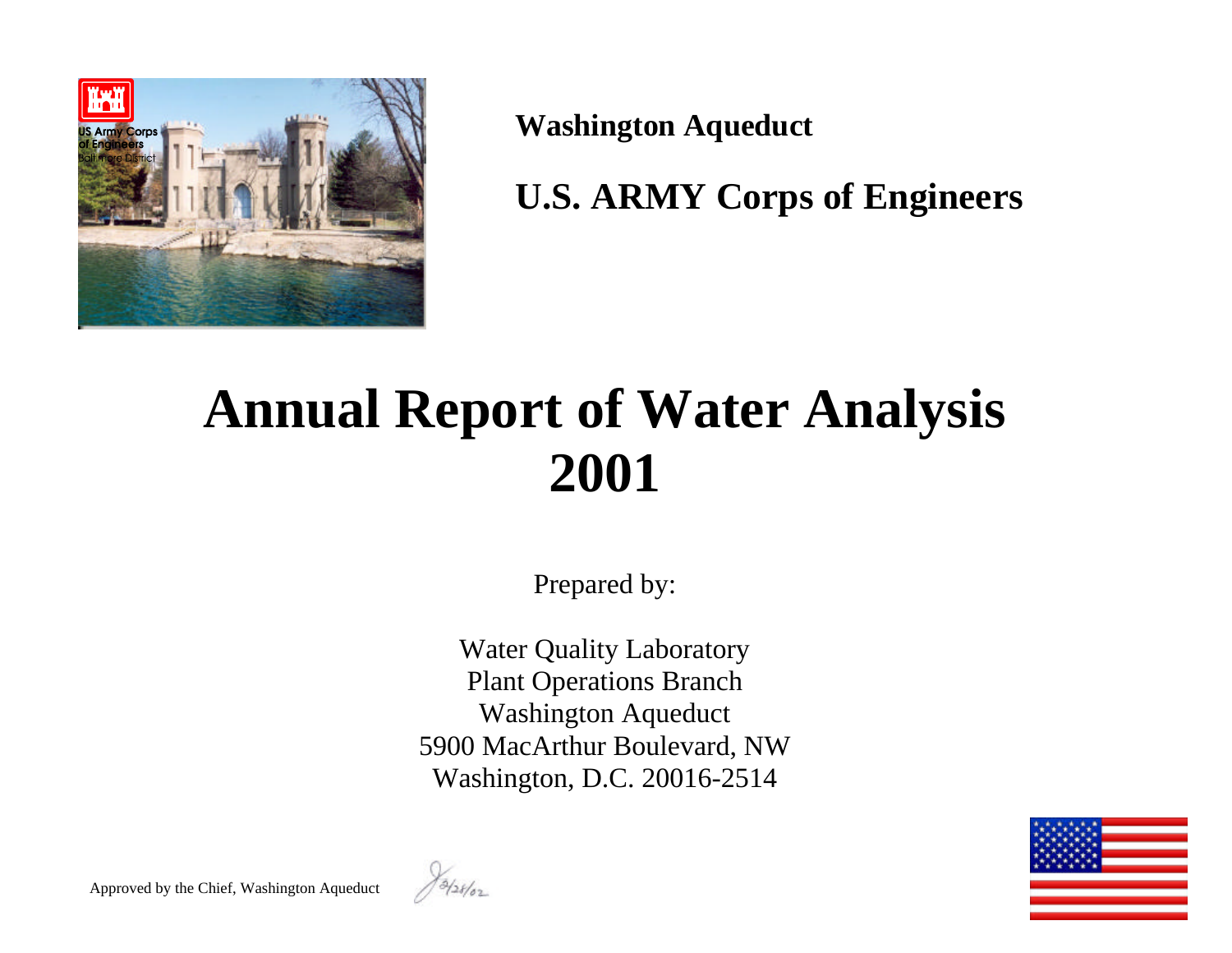

**Washington Aqueduct**

**U.S. ARMY Corps of Engineers**

# **Annual Report of Water Analysis 2001**

Prepared by:

Water Quality Laboratory Plant Operations Branch Washington Aqueduct 5900 MacArthur Boulevard, NW Washington, D.C. 20016-2514



Approved by the Chief, Washington Aqueduct

13/28/02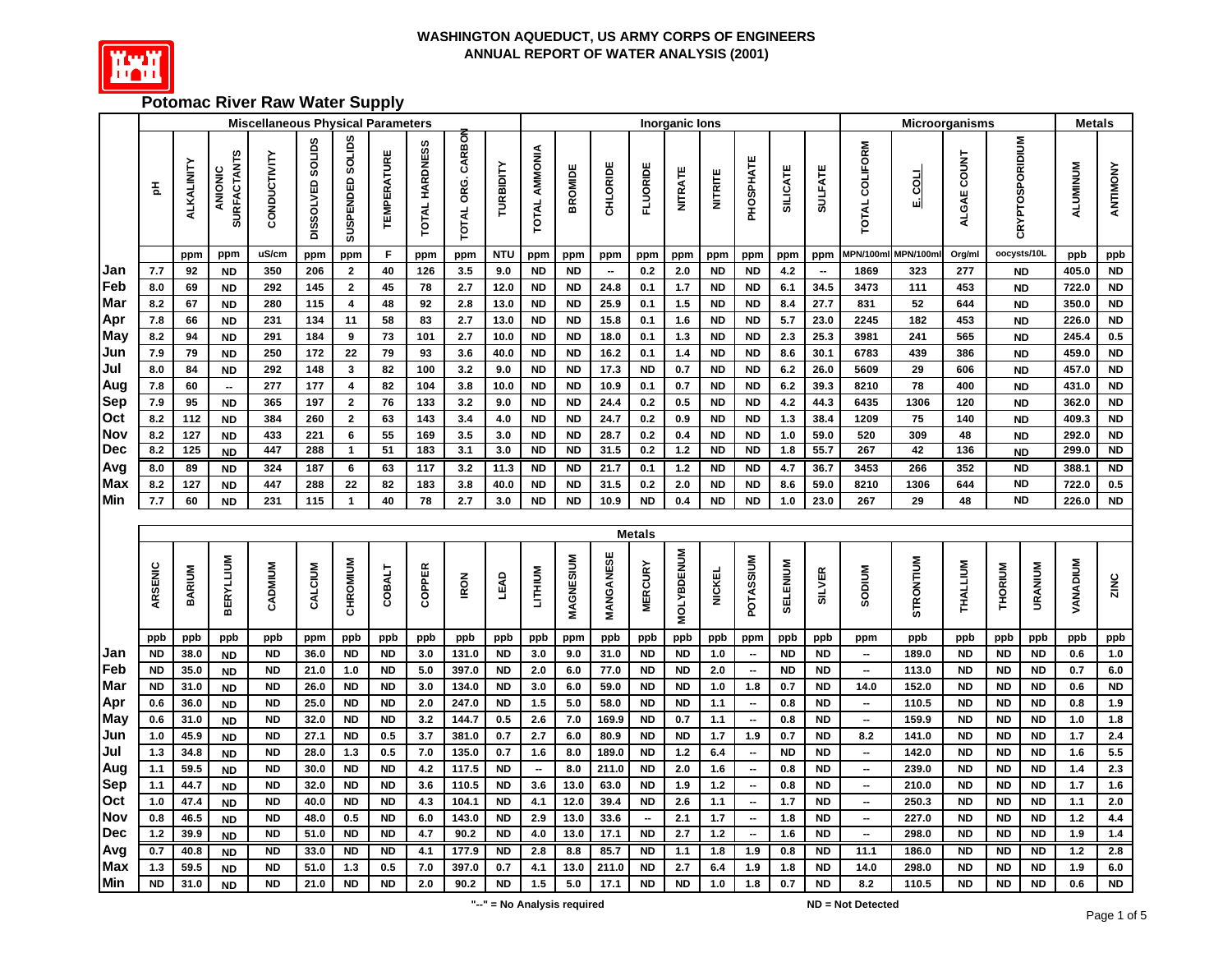

## **Potomac River Raw Water Supply**

|                          |            |              |                               | <b>Miscellaneous Physical Parameters</b> |                   |                         |                        |                 |                   |                        |                          |                        |                          |                                       | <b>Inorganic lons</b> |                        |                                                          |                 |                        |                                                      |                  | Microorganisms         |                        |                              | <b>Metals</b>   |                        |
|--------------------------|------------|--------------|-------------------------------|------------------------------------------|-------------------|-------------------------|------------------------|-----------------|-------------------|------------------------|--------------------------|------------------------|--------------------------|---------------------------------------|-----------------------|------------------------|----------------------------------------------------------|-----------------|------------------------|------------------------------------------------------|------------------|------------------------|------------------------|------------------------------|-----------------|------------------------|
|                          | 玉          | ALKALINITY   | <b>SURFACTANTS</b><br>ANIONIC | CONDUCTIVITY                             | DISSOLVED SOLIDS  | SUSPENDED SOLIDS        | <b>TEMPERATURE</b>     | TOTAL HARDNESS  | TOTAL ORG. CARBON | TURBIDITY              | TOTAL AMMONIA            | <b>BROMIDE</b>         | CHLORIDE                 | <b>FLUORIDE</b>                       | <b>NITRATE</b>        | <b>NITRITE</b>         | PHOSPHATE                                                | <b>SILICATE</b> | <b>SULFATE</b>         | <b>TOTAL COLIFORM</b>                                | F COT            | ALGAE COUNT            | CRYPTOSPORIDIUM        |                              | <b>ALUMINUM</b> | ANTIMONY               |
|                          |            | ppm          | ppm                           | uS/cm                                    | ppm               | ppm                     | F                      | ppm             | ppm               | <b>NTU</b>             | ppm                      | ppm                    | ppm                      | ppm                                   | ppm                   | ppm                    | ppm                                                      | ppm             | ppm                    | <b>MPN/100m</b>                                      | <b>MPN/100m</b>  | Org/ml                 | oocysts/10L            |                              | ppb             | ppb                    |
| Jan                      | 7.7        | 92           | <b>ND</b>                     | 350                                      | 206               | $\mathbf{2}$            | 40                     | 126             | 3.5               | 9.0                    | <b>ND</b>                | <b>ND</b>              | $\overline{\phantom{a}}$ | 0.2                                   | 2.0                   | <b>ND</b>              | <b>ND</b>                                                | 4.2             |                        | 1869                                                 | 323              | 277                    |                        | <b>ND</b>                    | 405.0           | <b>ND</b>              |
| Feb                      | 8.0        | 69           | <b>ND</b>                     | 292                                      | 145               | $\mathbf 2$             | 45                     | 78              | 2.7               | 12.0                   | <b>ND</b>                | <b>ND</b>              | 24.8                     | 0.1                                   | $1.7$                 | <b>ND</b>              | <b>ND</b>                                                | 6.1             | 34.5                   | 3473                                                 | 111              | 453                    |                        | <b>ND</b>                    | 722.0           | <b>ND</b>              |
| <b>Mar</b>               | 8.2        | 67           | <b>ND</b>                     | 280                                      | $\frac{115}{115}$ | $\overline{\mathbf{4}}$ | 48                     | 92              | 2.8               | 13.0                   | <b>ND</b>                | <b>ND</b>              | 25.9                     | 0.1                                   | 1.5                   | <b>ND</b>              | <b>ND</b>                                                | 8.4             | 27.7                   | 831                                                  | 52               | 644                    |                        | <b>ND</b>                    | 350.0           | N <sub>D</sub>         |
| Apr                      | 7.8        | 66           | <b>ND</b>                     | 231                                      | 134               | 11                      | 58                     | 83              | 2.7               | 13.0                   | <b>ND</b>                | <b>ND</b>              | 15.8                     | 0.1                                   | 1.6                   | <b>ND</b>              | <b>ND</b>                                                | 5.7             | 23.0                   | 2245                                                 | 182              | 453                    |                        | <b>ND</b>                    | 226.0           | <b>ND</b>              |
| May                      | 8.2        | 94           | <b>ND</b>                     | 291                                      | 184               | 9                       | 73                     | 101             | 2.7               | 10.0                   | <b>ND</b>                | <b>ND</b>              | 18.0                     | 0.1                                   | 1.3                   | <b>ND</b>              | <b>ND</b>                                                | 2.3             | 25.3                   | 3981                                                 | 241              | 565                    |                        | <b>ND</b>                    | 245.4           | 0.5                    |
| Jun                      | 7.9        | 79           | <b>ND</b>                     | 250                                      | 172               | 22                      | 79                     | 93              | 3.6               | 40.0                   | <b>ND</b>                | <b>ND</b>              | 16.2                     | 0.1                                   | 1.4                   | <b>ND</b>              | <b>ND</b>                                                | 8.6             | 30.1                   | 6783                                                 | 439              | 386                    |                        | <b>ND</b>                    | 459.0           | <b>ND</b>              |
| Jul                      | 8.0        | 84           | <b>ND</b>                     | 292                                      | $\frac{1}{148}$   | $\mathbf{3}$            | 82                     | 100             | 3.2               | 9.0                    | <b>ND</b>                | <b>ND</b>              | 17.3                     | <b>ND</b>                             | $0.7\,$               | <b>ND</b>              | <b>ND</b>                                                | $6.2\,$         | 26.0                   | 5609                                                 | 29               | 606                    |                        | <b>ND</b>                    | 457.0           | <b>ND</b>              |
| Aug                      | 7.8        | 60           | $\overline{\phantom{a}}$      | 277                                      | 177               | 4                       | 82                     | 104             | 3.8               | 10.0                   | <b>ND</b>                | <b>ND</b>              | 10.9                     | 0.1                                   | $0.7\,$               | <b>ND</b>              | <b>ND</b>                                                | 6.2             | 39.3                   | 8210                                                 | 78               | 400                    |                        | <b>ND</b>                    | 431.0           | <b>ND</b>              |
| <b>Sep</b>               | 7.9        | 95           | <b>ND</b>                     | 365                                      | 197               | $\mathbf 2$             | 76                     | 133             | 3.2               | 9.0                    | <b>ND</b>                | <b>ND</b>              | 24.4                     | 0.2                                   | $0.5\,$               | <b>ND</b>              | <b>ND</b>                                                | 4.2             | 44.3                   | 6435                                                 | 1306             | 120                    |                        | <b>ND</b>                    | 362.0           | <b>ND</b>              |
| Oct<br><b>Nov</b>        | 8.2<br>8.2 | 112          | <b>ND</b>                     | 384<br>433                               | 260<br>221        | $\mathbf{2}$            | 63<br>55               | 143<br>169      | 3.4<br>3.5        | $4.0\,$<br>3.0         | <b>ND</b><br><b>ND</b>   | <b>ND</b><br><b>ND</b> | 24.7                     | $0.2\,$                               | 0.9                   | <b>ND</b><br><b>ND</b> | <b>ND</b><br><b>ND</b>                                   | 1.3<br>1.0      | 38.4<br>59.0           | 1209<br>520                                          | 75<br>309        | 140<br>48              |                        | <b>ND</b>                    | 409.3<br>292.0  | <b>ND</b><br><b>ND</b> |
| Dec                      | 8.2        | 127<br>125   | <b>ND</b>                     | 447                                      | 288               | 6<br>$\mathbf{1}$       | 51                     | $\frac{1}{183}$ | 3.1               | 3.0                    | $\overline{ND}$          | $\overline{ND}$        | 28.7<br>31.5             | $0.2\,$<br>0.2                        | $0.4\,$<br>1.2        | N <sub>D</sub>         | $\overline{SD}$                                          | 1.8             | 55.7                   | 267                                                  | 42               | 136                    |                        | <b>ND</b>                    | 299.0           | <b>ND</b>              |
| Avg                      | 8.0        | 89           | <b>ND</b><br><b>ND</b>        | 324                                      | 187               | 6                       | 63                     | 117             | 3.2               | 11.3                   | <b>ND</b>                | <b>ND</b>              | 21.7                     | 0.1                                   | 1.2                   | <b>ND</b>              | <b>ND</b>                                                | 4.7             | 36.7                   | 3453                                                 | 266              | 352                    |                        | <b>ND</b><br><b>ND</b>       | 388.1           | <b>ND</b>              |
| <b>Max</b>               | 8.2        | 127          | <b>ND</b>                     | 447                                      | 288               | 22                      | 82                     | 183             | 3.8               | 40.0                   | <b>ND</b>                | <b>ND</b>              | 31.5                     | 0.2                                   | 2.0                   | <b>ND</b>              | <b>ND</b>                                                | 8.6             | 59.0                   | 8210                                                 | 1306             | 644                    |                        | $\overline{ND}$              | 722.0           | 0.5                    |
| Min                      | 7.7        | 60           | ND                            | 231                                      | 115               | $\mathbf{1}$            | 40                     | 78              | 2.7               | 3.0                    | <b>ND</b>                | <b>ND</b>              | 10.9                     | <b>ND</b>                             | 0.4                   | <b>ND</b>              | <b>ND</b>                                                | 1.0             | 23.0                   | 267                                                  | 29               | 48                     |                        | $\overline{ND}$              | 226.0           | <b>ND</b>              |
|                          |            |              |                               |                                          |                   |                         |                        |                 |                   |                        |                          |                        |                          |                                       |                       |                        |                                                          |                 |                        |                                                      |                  |                        |                        |                              |                 |                        |
|                          |            |              |                               |                                          |                   |                         |                        |                 |                   |                        |                          |                        |                          | <b>Metals</b>                         |                       |                        |                                                          |                 |                        |                                                      |                  |                        |                        |                              |                 |                        |
|                          | ARSENIC    | BARIUM       | <b>BERYLLIUM</b>              | CADMIUM                                  | CALCIUM           | CHROMIUM                | <b>COBALT</b>          | COPPER          | <b>IRON</b>       | LEAD                   | LITHIUM                  | MAGNESIUM              | MANGANESE                | <b>MERCURY</b>                        | <b>MOLYBDENUM</b>     | <b>NICKEL</b>          | <b>MUISSATO</b>                                          | SELENIUM        | <b>SILVER</b>          | Mnidos                                               | <b>STRONTIUM</b> | THALLIUM               | <b>THORIUM</b>         | URANIUM                      | <b>VANADIUM</b> | ZINC                   |
|                          | ppb        | ppb          | ppb                           | ppb                                      | ppm               | ppb                     | ppb                    | ppb             | ppb               | ppb                    | ppb                      | ppm                    | ppb                      | ppb                                   | ppb                   | ppb                    | ppm                                                      | ppb             | ppb                    | ppm                                                  | ppb              | ppb                    | ppb                    | ppb                          | ppb             | ppb                    |
| Jan                      | <b>ND</b>  | 38.0         | <b>ND</b>                     | <b>ND</b>                                | 36.0              | <b>ND</b>               | <b>ND</b>              | 3.0             | 131.0             | <b>ND</b>              | 3.0                      | 9.0                    | 31.0                     | $\sf ND$                              | <b>ND</b>             | $1.0$                  | $\overline{\phantom{a}}$                                 | <b>ND</b>       | <b>ND</b>              | $\overline{\phantom{a}}$                             | 189.0            | <b>ND</b>              | <b>ND</b>              | <b>ND</b>                    | 0.6             | $1.0$                  |
| Feb                      | <b>ND</b>  | 35.0         | <b>ND</b>                     | <b>ND</b>                                | 21.0              | $1.0$                   | <b>ND</b>              | $5.0$           | 397.0             | <b>ND</b>              | $2.0\,$                  | 6.0                    | 77.0                     | <b>ND</b>                             | <b>ND</b>             | 2.0                    | $\overline{\phantom{a}}$                                 | <b>ND</b>       | <b>ND</b>              | $\overline{\phantom{a}}$                             | 113.0            | <b>ND</b>              | <b>ND</b>              | <b>ND</b>                    | 0.7             | $6.0\,$                |
| Mar                      | <b>ND</b>  | 31.0         | <b>ND</b>                     | <b>ND</b>                                | 26.0              | <b>ND</b>               | <b>ND</b>              | 3.0             | 134.0             | <b>ND</b>              | 3.0                      | 6.0                    | 59.0                     | <b>ND</b>                             | <b>ND</b>             | 1.0                    | 1.8                                                      | 0.7             | <b>ND</b>              | 14.0                                                 | 152.0            | <b>ND</b>              | <b>ND</b>              | <b>ND</b>                    | 0.6             | <b>ND</b>              |
| Apr                      | 0.6        | 36.0         | <b>ND</b>                     | <b>ND</b>                                | 25.0              | <b>ND</b>               | <b>ND</b>              | 2.0             | 247.0             | <b>ND</b>              | 1.5                      | $5.0$                  | 58.0                     | <b>ND</b>                             | <b>ND</b>             | 1.1                    | $\overline{\phantom{a}}$                                 | 0.8             | <b>ND</b>              | $\overline{\phantom{a}}$                             | 110.5            | <b>ND</b>              | <b>ND</b>              | <b>ND</b>                    | 0.8             | 1.9                    |
| <b>May</b>               | 0.6        | 31.0         | <b>ND</b>                     | <b>ND</b>                                | 32.0              | <b>ND</b>               | <b>ND</b>              | 3.2             | 144.7             | 0.5                    | 2.6                      | $7.0$                  | 169.9                    | <b>ND</b>                             | 0.7                   | 1.1                    | $\overline{\phantom{a}}$                                 | 0.8             | <b>ND</b>              | $\overline{\phantom{a}}$                             | 159.9            | <b>ND</b>              | <b>ND</b>              | <b>ND</b>                    | $1.0$           | 1.8                    |
| Jun                      | 1.0        | 45.9         | <b>ND</b>                     | <b>ND</b>                                | 27.1              | <b>ND</b>               | 0.5                    | 3.7             | 381.0             | 0.7                    | 2.7                      | $6.0\,$                | 80.9                     | <b>ND</b>                             | <b>ND</b>             | 1.7                    | 1.9                                                      | 0.7             | <b>ND</b>              | 8.2                                                  | 141.0            | <b>ND</b>              | <b>ND</b>              | <b>ND</b>                    | 1.7             | 2.4                    |
| Jul                      | $1.3$      | 34.8         | <b>ND</b>                     | <b>ND</b>                                | 28.0              | $1.3$                   | 0.5                    | 7.0             | 135.0             | 0.7                    | 1.6                      | 8.0                    | 189.0                    | <b>ND</b>                             | $1.2$                 | 6.4                    | $\overline{\phantom{a}}$                                 | <b>ND</b>       | <b>ND</b>              | $\overline{\phantom{a}}$                             | 142.0            | <b>ND</b>              | <b>ND</b>              | <b>ND</b>                    | 1.6             | 5.5                    |
| Aug                      | 1.1        | 59.5         | <b>ND</b>                     | <b>ND</b>                                | 30.0              | <b>ND</b>               | <b>ND</b>              | 4.2             | 117.5             | <b>ND</b>              | $\overline{\phantom{a}}$ | 8.0                    | 211.0                    | <b>ND</b>                             | 2.0                   | 1.6                    | $\overline{\phantom{a}}$                                 | 0.8             | <b>ND</b>              | $\overline{\phantom{a}}$                             | 239.0            | <b>ND</b>              | <b>ND</b>              | <b>ND</b>                    | $1.4$           | 2.3                    |
| <b>Sep</b>               | 1.1        | 44.7         | <b>ND</b>                     | <b>ND</b>                                | 32.0              | <b>ND</b>               | <b>ND</b>              | 3.6             | 110.5             | <b>ND</b>              | 3.6                      | 13.0                   | 63.0                     | <b>ND</b>                             | 1.9                   | $1.2$                  | $\overline{\phantom{a}}$                                 | 0.8             | <b>ND</b>              | $\overline{\phantom{a}}$                             | 210.0            | <b>ND</b>              | <b>ND</b>              | <b>ND</b>                    | 1.7             | 1.6                    |
| Oct                      | 1.0        | 47.4         | <b>ND</b>                     | <b>ND</b>                                | 40.0              | <b>ND</b>               | <b>ND</b>              | 4.3             | 104.1             | <b>ND</b>              | 4.1                      | 12.0                   | 39.4                     | <b>ND</b>                             | 2.6                   | 1.1                    | $\overline{\phantom{a}}$                                 | $1.7$           | <b>ND</b>              | $\overline{\phantom{a}}$                             | 250.3            | <b>ND</b>              | <b>ND</b>              | <b>ND</b>                    | 1.1             | 2.0                    |
| <b>Nov</b><br><b>Dec</b> | 0.8<br>1.2 | 46.5<br>39.9 | <b>ND</b>                     | <b>ND</b><br>N <sub>D</sub>              | 48.0<br>51.0      | 0.5<br><b>ND</b>        | <b>ND</b><br><b>ND</b> | 6.0<br>4.7      | 143.0<br>90.2     | <b>ND</b><br><b>ND</b> | 2.9<br>4.0               | 13.0<br>13.0           | 33.6<br>17.1             | $\overline{\phantom{a}}$<br><b>ND</b> | 2.1<br>2.7            | 1.7<br>$1.2$           | $\overline{\phantom{a}}$<br>$\qquad \qquad \blacksquare$ | 1.8<br>1.6      | <b>ND</b><br><b>ND</b> | $\overline{\phantom{a}}$<br>$\overline{\phantom{a}}$ | 227.0<br>298.0   | <b>ND</b><br><b>ND</b> | <b>ND</b><br><b>ND</b> | <b>ND</b><br>$\overline{ND}$ | $1.2$<br>1.9    | 4.4<br>1.4             |
|                          | 0.7        | 40.8         | <b>ND</b>                     | <b>ND</b>                                | 33.0              | $\overline{ND}$         | $\overline{ND}$        | 4.1             | 177.9             | $\overline{ND}$        | 2.8                      | 8.8                    | 85.7                     | $\overline{ND}$                       | 1.1                   |                        |                                                          | 0.8             | $\overline{ND}$        | 11.1                                                 | 186.0            | $\overline{ND}$        | $\overline{ND}$        | <b>ND</b>                    | 1.2             | 2.8                    |
| Avg<br>Max               | $1.3$      | 59.5         | <b>ND</b>                     | <b>ND</b>                                | 51.0              | 1.3                     | 0.5                    | $7.0$           | 397.0             | 0.7                    | 4.1                      | 13.0                   | 211.0                    | <b>ND</b>                             | 2.7                   | 1.8<br>6.4             | 1.9<br>1.9                                               | 1.8             | <b>ND</b>              | 14.0                                                 | 298.0            | <b>ND</b>              | <b>ND</b>              | <b>ND</b>                    | 1.9             | 6.0                    |
| Min                      | <b>ND</b>  | 31.0         | <b>ND</b><br><b>ND</b>        | <b>ND</b>                                | 21.0              | <b>ND</b>               | <b>ND</b>              | 2.0             | 90.2              | <b>ND</b>              | 1.5                      | 5.0                    | 17.1                     | <b>ND</b>                             | <b>ND</b>             | 1.0                    | 1.8                                                      | 0.7             | <b>ND</b>              | 8.2                                                  | 110.5            | <b>ND</b>              | <b>ND</b>              | <b>ND</b>                    | 0.6             | <b>ND</b>              |
|                          |            |              |                               |                                          |                   |                         |                        |                 |                   |                        |                          |                        |                          |                                       |                       |                        |                                                          |                 |                        |                                                      |                  |                        |                        |                              |                 |                        |

**"--" = No Analysis required**

**ND = Not Detected**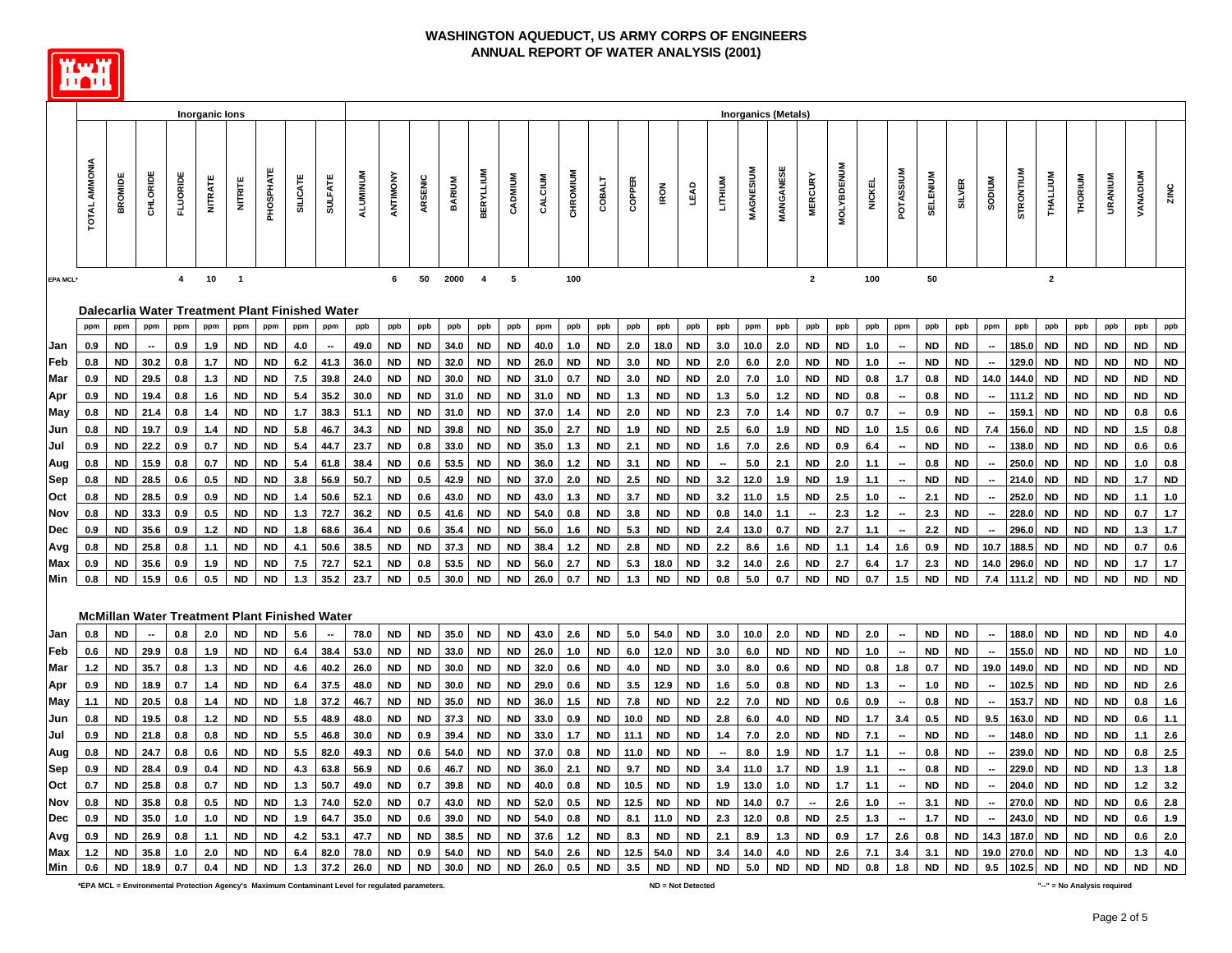

|            |               |                 |                 |                | <b>Inorganic lons</b> |                |           |                 |                                                 |                 |           |           |        |                        |           |              |           |           |        |             |             |                          | <b>Inorganics (Metals)</b> |           |                          |                   |               |                          |                 |               |                          |                  |              |           |           |           |            |
|------------|---------------|-----------------|-----------------|----------------|-----------------------|----------------|-----------|-----------------|-------------------------------------------------|-----------------|-----------|-----------|--------|------------------------|-----------|--------------|-----------|-----------|--------|-------------|-------------|--------------------------|----------------------------|-----------|--------------------------|-------------------|---------------|--------------------------|-----------------|---------------|--------------------------|------------------|--------------|-----------|-----------|-----------|------------|
|            |               |                 |                 |                |                       |                |           |                 |                                                 |                 |           |           |        |                        |           |              |           |           |        |             |             |                          |                            |           |                          |                   |               |                          |                 |               |                          |                  |              |           |           |           |            |
|            | TOTAL AMMONIA | <b>BROMIDE</b>  | <b>CHLORIDE</b> | FLUORIDE       | <b>NITRATE</b>        | <b>NITRITE</b> | PHOSPHATE | <b>SILICATE</b> | <b>SULFATE</b>                                  | <b>ALUMINUM</b> | ANTIMONY  | ARSENIC   | BARIUM | <b>BERYLLIUM</b>       | CADMIUM   | CALCIUM      | CHROMIUM  |           | COPPER | <b>IRON</b> | <b>LEAD</b> | LITHIUM                  | MAGNESIUM                  | MANGANESE | <b>MERCURY</b>           | <b>MOLYBDENUM</b> | <b>NICKEL</b> | POTASSIUM                | <b>SELENIUM</b> | <b>SILVER</b> | <b>NUIDOS</b>            | <b>STRONTIUM</b> | THALLIUM     | THORIUM   | URANIUM   | WUIDANAV  | ZINC       |
|            |               |                 |                 | $\overline{4}$ |                       | $\overline{1}$ |           |                 |                                                 |                 | 6         | 50        |        | $\overline{4}$         | 5         |              | 100       |           |        |             |             |                          |                            |           |                          |                   | 100           |                          |                 |               |                          |                  |              |           |           |           |            |
| EPA MCL*   |               |                 |                 |                | 10                    |                |           |                 |                                                 |                 |           |           | 2000   |                        |           |              |           |           |        |             |             |                          |                            |           | $\mathbf{2}$             |                   |               |                          | 50              |               |                          |                  | $\mathbf{2}$ |           |           |           |            |
|            |               |                 |                 |                |                       |                |           |                 | Dalecarlia Water Treatment Plant Finished Water |                 |           |           |        |                        |           |              |           |           |        |             |             |                          |                            |           |                          |                   |               |                          |                 |               |                          |                  |              |           |           |           |            |
|            | ppm           | ppm             | ppm             | ppm            | ppm                   | ppm            | ppm       | ppm             | ppm                                             | ppb             | ppb       | ppb       | ppb    | ppb                    | ppb       | ppm          | ppb       | ppb       | ppb    | ppb         | ppb         | ppb                      | ppm                        | ppb       | ppb                      | ppb               | ppb           | ppm                      | ppb             | ppb           | ppm                      | ppb              | ppb          | ppb       | ppb       | ppb       | ppb        |
| Jan        | 0.9           | <b>ND</b>       |                 | 0.9            | 1.9                   | <b>ND</b>      | <b>ND</b> | 4.0             |                                                 | 49.0            | <b>ND</b> | <b>ND</b> | 34.0   | <b>ND</b>              | <b>ND</b> | 40.0         | 1.0       | <b>ND</b> | 2.0    | 18.0        | <b>ND</b>   | 3.0                      | 10.0                       | 2.0       | <b>ND</b>                | <b>ND</b>         | 1.0           | $\overline{\phantom{a}}$ | <b>ND</b>       | <b>ND</b>     |                          | 185.0            | <b>ND</b>    | <b>ND</b> | <b>ND</b> | <b>ND</b> | <b>ND</b>  |
| Feb        | 0.8           | <b>ND</b>       | 30.2            | 0.8            | 1.7                   | <b>ND</b>      | ND        | 6.2             | 41.3                                            | 36.0            | ND        | <b>ND</b> | 32.0   | <b>ND</b>              | <b>ND</b> | 26.0         | <b>ND</b> | <b>ND</b> | 3.0    | <b>ND</b>   | <b>ND</b>   | 2.0                      | 6.0                        | 2.0       | <b>ND</b>                | <b>ND</b>         | 1.0           | $\overline{\phantom{a}}$ | <b>ND</b>       | ND            |                          | 129.0            | <b>ND</b>    | <b>ND</b> | ND        | <b>ND</b> | <b>ND</b>  |
| Mar        | 0.9           | <b>ND</b>       | 29.5            | 0.8            | 1.3                   | ND             | <b>ND</b> | 7.5             | 39.8                                            | 24.0            | <b>ND</b> | <b>ND</b> | 30.0   | ND                     | ND.       | 31.0         | 0.7       | ND        | 3.0    | <b>ND</b>   | <b>ND</b>   | 2.0                      | 7.0                        | 1.0       | ND                       | ND                | 0.8           | 1.7                      | 0.8             | ND            | 14.0                     | 144.0            | <b>ND</b>    | <b>ND</b> | <b>ND</b> | ND        | <b>ND</b>  |
| Apr        | 0.9           | <b>ND</b>       | 19.4            | 0.8            | 1.6                   | <b>ND</b>      | <b>ND</b> | 5.4             | 35.2                                            | 30.0            | <b>ND</b> | <b>ND</b> | 31.0   | <b>ND</b>              | <b>ND</b> | 31.0         | <b>ND</b> | <b>ND</b> | 1.3    | <b>ND</b>   | <b>ND</b>   | 1.3                      | 5.0                        | $1.2$     | <b>ND</b>                | <b>ND</b>         | 0.8           | $\overline{\phantom{a}}$ | 0.8             | <b>ND</b>     |                          | 111.2            | <b>ND</b>    | <b>ND</b> | <b>ND</b> | <b>ND</b> | <b>ND</b>  |
| May        | 0.8           | ND.             | 21.4            | 0.8            | 1.4                   | ND             | <b>ND</b> | 1.7             | 38.3                                            | 51.1            | <b>ND</b> | <b>ND</b> | 31.0   | <b>ND</b>              | <b>ND</b> | 37.0         | 1.4       | <b>ND</b> | 2.0    | <b>ND</b>   | <b>ND</b>   | 2.3                      | 7.0                        | 1.4       | <b>ND</b>                | 0.7               | 0.7           |                          | 0.9             | ND            |                          | 159.1            | <b>ND</b>    | <b>ND</b> | <b>ND</b> | 0.8       | 0.6        |
| Jun        | 0.8           | <b>ND</b>       | 19.7            | 0.9            | 1.4                   | <b>ND</b>      | <b>ND</b> | 5.8             | 46.7                                            | 34.3            | <b>ND</b> | <b>ND</b> | 39.8   | <b>ND</b>              | <b>ND</b> | 35.0         | 2.7       | <b>ND</b> | 1.9    | <b>ND</b>   | <b>ND</b>   | 2.5                      | 6.0                        | 1.9       | <b>ND</b>                | <b>ND</b>         | 1.0           | $1.5$                    | 0.6             | <b>ND</b>     | 7.4                      | 156.0            | <b>ND</b>    | <b>ND</b> | <b>ND</b> | 1.5       | 0.8        |
| Jul        | 0.9           | <b>ND</b>       | 22.2            | 0.9            | 0.7                   | ND             | ND        | 5.4             | 44.7                                            | 23.7            | <b>ND</b> | 0.8       | 33.0   | ND                     | <b>ND</b> | 35.0         | 1.3       | <b>ND</b> | 2.1    | <b>ND</b>   | <b>ND</b>   | 1.6                      | 7.0                        | 2.6       | <b>ND</b>                | 0.9               | $6.4\,$       | $\overline{\phantom{a}}$ | <b>ND</b>       | <b>ND</b>     |                          | 138.0            | <b>ND</b>    | <b>ND</b> | <b>ND</b> | 0.6       | $0.6\,$    |
| Aug        | 0.8           | ND              | 15.9            | 0.8            | 0.7                   | <b>ND</b>      | <b>ND</b> | 5.4             | 61.8                                            | 38.4            | <b>ND</b> | 0.6       | 53.5   | <b>ND</b>              | <b>ND</b> | 36.0         | 1.2       | <b>ND</b> | 3.1    | <b>ND</b>   | <b>ND</b>   | $\sim$                   | 5.0                        | 2.1       | <b>ND</b>                | 2.0               | $1.1$         | $\overline{\phantom{a}}$ | 0.8             | <b>ND</b>     |                          | 250.0            | <b>ND</b>    | <b>ND</b> | <b>ND</b> | 1.0       | $0.8\,$    |
| Sep        | 0.8           | ND.             | 28.5            | 0.6            | 0.5                   | <b>ND</b>      | <b>ND</b> | 3.8             | 56.9                                            | 50.7            | <b>ND</b> | 0.5       | 42.9   | <b>ND</b>              | <b>ND</b> | 37.0         | 2.0       | <b>ND</b> | 2.5    | <b>ND</b>   | <b>ND</b>   | 3.2                      | 12.0                       | 1.9       | <b>ND</b>                | 1.9               | 1.1           | $\overline{\phantom{a}}$ | <b>ND</b>       | <b>ND</b>     |                          | 214.0            | ND.          | <b>ND</b> | <b>ND</b> | 1.7       | <b>ND</b>  |
| Oct        | 0.8           | <b>ND</b>       | 28.5            | 0.9            | 0.9                   | <b>ND</b>      | <b>ND</b> |                 | 50.6                                            | 52.1            | <b>ND</b> | 0.6       | 43.0   | <b>ND</b>              | <b>ND</b> | 43.0         | 1.3       | <b>ND</b> | 3.7    | <b>ND</b>   | <b>ND</b>   | 3.2                      | 11.0                       | 1.5       | <b>ND</b>                | 2.5               | 1.0           | $\overline{\phantom{a}}$ | 2.1             | <b>ND</b>     |                          | 252.0            | <b>ND</b>    | <b>ND</b> | <b>ND</b> | 1.1       | 1.0        |
| Nov        | 0.8           | ND.             | 33.3            | 0.9            | 0.5                   | ND             | <b>ND</b> | 1.3             | 72.7                                            | 36.2            | <b>ND</b> | 0.5       | 41.6   | <b>ND</b>              | ND        | 54.0         | 0.8       | ND        | 3.8    | ND          | <b>ND</b>   | 0.8                      | 14.0                       | 1.1       | $\overline{\phantom{a}}$ | 2.3               | 1.2           | $\overline{\phantom{a}}$ | 2.3             | ND            | --                       | 228.0            | <b>ND</b>    | <b>ND</b> | <b>ND</b> | 0.7       | 1.7        |
| Dec        | 0.9           | <b>ND</b>       | 35.6            | 0.9            | $1.2$                 | <b>ND</b>      | <b>ND</b> | 1.8             | 68.6                                            | 36.4            | <b>ND</b> | 0.6       | 35.4   | <b>ND</b>              | <b>ND</b> | 56.0         | 1.6       | <b>ND</b> | 5.3    | <b>ND</b>   | <b>ND</b>   | 2.4                      | 13.0                       | 0.7       | <b>ND</b>                | 2.7               | $1.1$         | $\overline{\phantom{a}}$ | 2.2             | <b>ND</b>     | $\overline{\phantom{a}}$ | 296.0            | <b>ND</b>    | <b>ND</b> | <b>ND</b> | 1.3       | 1.7        |
|            | 0.8           | ND              | 25.8            | 0.8            |                       | <b>ND</b>      | <b>ND</b> | 4.1             | 50.6                                            | 38.5            | <b>ND</b> | <b>ND</b> | 37.3   | <b>ND</b>              | <b>ND</b> | 38.4         | 1.2       | <b>ND</b> | 2.8    | <b>ND</b>   | <b>ND</b>   | 2.2                      | 8.6                        | 1.6       | <b>ND</b>                | 1.1               | 1.4           | 1.6                      | 0.9             | ND            | 10.7                     | 188.5            | <b>ND</b>    | <b>ND</b> | <b>ND</b> | 0.7       | 0.6        |
| Avg        |               |                 | 35.6            | 0.9            | 1.9                   | <b>ND</b>      | <b>ND</b> | 7.5             | 72.7                                            | 52.1            | <b>ND</b> | 0.8       | 53.5   |                        | <b>ND</b> |              | 2.7       | <b>ND</b> | 5.3    | 18.0        | <b>ND</b>   | 3.2                      | 14.0                       | 2.6       | <b>ND</b>                | 2.7               | 6.4           | 1.7                      | 2.3             | ND            | 14.0                     | 296.0            | <b>ND</b>    | <b>ND</b> | <b>ND</b> | 1.7       | 1.7        |
| Max<br>Min | 0.9<br>0.8    | ND<br><b>ND</b> | 15.9            | 0.6            | 0.5                   | <b>ND</b>      | <b>ND</b> | $1.3$           | 35.2                                            | 23.7            | <b>ND</b> | 0.5       | 30.0   | <b>ND</b><br><b>ND</b> | <b>ND</b> | 56.0<br>26.0 | 0.7       | <b>ND</b> | $1.3$  | <b>ND</b>   | <b>ND</b>   | 0.8                      | $5.0\,$                    | $0.7\,$   | <b>ND</b>                | <b>ND</b>         | 0.7           | $1.5$                    | <b>ND</b>       | <b>ND</b>     | 7.4                      | 111.2            | <b>ND</b>    | <b>ND</b> | <b>ND</b> | <b>ND</b> | ${\sf ND}$ |
|            |               |                 |                 |                |                       |                |           |                 |                                                 |                 |           |           |        |                        |           |              |           |           |        |             |             |                          |                            |           |                          |                   |               |                          |                 |               |                          |                  |              |           |           |           |            |
|            |               |                 |                 |                |                       |                |           |                 | McMillan Water Treatment Plant Finished Water   |                 |           |           |        |                        |           |              |           |           |        |             |             |                          |                            |           |                          |                   |               |                          |                 |               |                          |                  |              |           |           |           |            |
| Jan        | 0.8           | <b>ND</b>       |                 | 0.8            | 2.0                   | <b>ND</b>      | <b>ND</b> | 5.6             |                                                 | 78.0            | <b>ND</b> | <b>ND</b> | 35.0   | <b>ND</b>              | <b>ND</b> | 43.0         | 2.6       | <b>ND</b> | 5.0    | 54.0        | <b>ND</b>   | 3.0                      | 10.0                       | 2.0       | <b>ND</b>                | <b>ND</b>         | 2.0           | $\overline{\phantom{a}}$ | <b>ND</b>       | <b>ND</b>     |                          | 188.0            | <b>ND</b>    | <b>ND</b> | <b>ND</b> | <b>ND</b> | 4.0        |
| Feb        | 0.6           | ND.             | 29.9            | 0.8            | 1.9                   | ND             | <b>ND</b> | 6.4             | 38.4                                            | 53.0            | <b>ND</b> | <b>ND</b> | 33.0   | <b>ND</b>              | <b>ND</b> | 26.0         | 1.0       | <b>ND</b> | 6.0    | 12.0        | <b>ND</b>   | 3.0                      | 6.0                        | <b>ND</b> | <b>ND</b>                | <b>ND</b>         | 1.0           | $\overline{\phantom{a}}$ | ND              | ND            |                          | 155.0            | <b>ND</b>    | <b>ND</b> | <b>ND</b> | <b>ND</b> | 1.0        |
| Mar        | 1.2           | ND.             | 35.7            | 0.8            | 1.3                   | <b>ND</b>      | <b>ND</b> | 4.6             | 40.2                                            | 26.0            | <b>ND</b> | <b>ND</b> | 30.0   | <b>ND</b>              | <b>ND</b> | 32.0         | 0.6       | <b>ND</b> | 4.0    | <b>ND</b>   | <b>ND</b>   | 3.0                      | 8.0                        | 0.6       | <b>ND</b>                | <b>ND</b>         | 0.8           | 1.8                      | 0.7             | <b>ND</b>     | 19.0                     | 149.0            | <b>ND</b>    | <b>ND</b> | <b>ND</b> | <b>ND</b> | <b>ND</b>  |
| Apr        | 0.9           | <b>ND</b>       | 18.9            | 0.7            | 1.4                   | <b>ND</b>      | <b>ND</b> | 6.4             | 37.5                                            | 48.0            | <b>ND</b> | <b>ND</b> | 30.0   | ND                     | <b>ND</b> | 29.0         | 0.6       | <b>ND</b> | 3.5    | 12.9        | <b>ND</b>   | 1.6                      | 5.0                        | $0.8\,$   | <b>ND</b>                | <b>ND</b>         | 1.3           | $\overline{\phantom{a}}$ | 1.0             | ND            |                          | 102.5            | <b>ND</b>    | <b>ND</b> | <b>ND</b> | <b>ND</b> | 2.6        |
| May        | 1.1           | ND.             | 20.5            | 0.8            | 1.4                   | <b>ND</b>      | <b>ND</b> | 1.8             | 37.2                                            | 46.7            | <b>ND</b> | <b>ND</b> | 35.0   | ND                     | <b>ND</b> | 36.0         | 1.5       | <b>ND</b> | 7.8    | <b>ND</b>   | <b>ND</b>   | 2.2                      | 7.0                        | <b>ND</b> | <b>ND</b>                | 0.6               | 0.9           | $\overline{\phantom{a}}$ | 0.8             | ND            |                          | 153.7            | <b>ND</b>    | <b>ND</b> | <b>ND</b> | 0.8       | 1.6        |
| Jun        | 0.8           | ND.             | 19.5            | 0.8            | $1.2$                 | <b>ND</b>      | <b>ND</b> | 5.5             | 48.9                                            | 48.0            | ND        | <b>ND</b> | 37.3   | <b>ND</b>              | <b>ND</b> | 33.0         | 0.9       | <b>ND</b> | 10.0   | <b>ND</b>   | <b>ND</b>   | 2.8                      | 6.0                        | 4.0       | <b>ND</b>                | <b>ND</b>         | 1.7           | 3.4                      | 0.5             | ND            | 9.5                      | 163.0            | ND.          | <b>ND</b> | ND        | 0.6       | 1.1        |
| Jul        | 0.9           | <b>ND</b>       | 21.8            | 0.8            | 0.8                   | ND             | <b>ND</b> | 5.5             | 46.8                                            | 30.0            | <b>ND</b> | 0.9       | 39.4   | ND                     | ND.       | 33.0         | 1.7       | <b>ND</b> | 11.1   | <b>ND</b>   | <b>ND</b>   | 1.4                      | 7.0                        | 2.0       | <b>ND</b>                | <b>ND</b>         | 7.1           | $\overline{\phantom{a}}$ | ND              | <b>ND</b>     |                          | 148.0            | <b>ND</b>    | <b>ND</b> | ND.       | 1.1       | 2.6        |
| Aug        | 0.8           | ND              | 24.7            | 0.8            | 0.6                   | <b>ND</b>      | <b>ND</b> | 5.5             | 82.0                                            | 49.3            | <b>ND</b> | 0.6       | 54.0   | <b>ND</b>              | <b>ND</b> | 37.0         | 0.8       | <b>ND</b> | 11.0   | <b>ND</b>   | <b>ND</b>   | $\overline{\phantom{a}}$ | 8.0                        | 1.9       | <b>ND</b>                | 1.7               | 1.1           | $\overline{\phantom{a}}$ | 0.8             | <b>ND</b>     |                          | 239.0            | <b>ND</b>    | <b>ND</b> | <b>ND</b> | 0.8       | $2.5\,$    |
| Sep        | 0.9           | <b>ND</b>       | 28.4            | 0.9            | 0.4                   | <b>ND</b>      | <b>ND</b> | 4.3             | 63.8                                            | 56.9            | <b>ND</b> | 0.6       | 46.7   | <b>ND</b>              | <b>ND</b> | 36.0         | 2.1       | <b>ND</b> | 9.7    | <b>ND</b>   | <b>ND</b>   | 3.4                      | 11.0                       | 1.7       | <b>ND</b>                | 1.9               | $1.1$         | $\bar{\phantom{a}}$      | 0.8             | <b>ND</b>     |                          | 229.0            | <b>ND</b>    | <b>ND</b> | <b>ND</b> | 1.3       | 1.8        |
| Oct        | 0.7           | ND              | 25.8            | 0.8            | 0.7                   | <b>ND</b>      | <b>ND</b> | $1.3$           | 50.7                                            | 49.0            | <b>ND</b> | 0.7       | 39.8   | <b>ND</b>              | <b>ND</b> | 40.0         | 0.8       | <b>ND</b> | 10.5   | <b>ND</b>   | <b>ND</b>   | 1.9                      | 13.0                       | $1.0$     | <b>ND</b>                | 1.7               | $1.1$         | $\overline{\phantom{a}}$ | <b>ND</b>       | ND            | $\overline{\phantom{a}}$ | 204.0            | <b>ND</b>    | <b>ND</b> | <b>ND</b> | $1.2$     | 3.2        |
| Nov        | 0.8           | <b>ND</b>       | 35.8            | 0.8            | 0.5                   | <b>ND</b>      | <b>ND</b> | 1.3             | 74.0                                            | 52.0            | <b>ND</b> | 0.7       | 43.0   | ND                     | <b>ND</b> | 52.0         | 0.5       | <b>ND</b> | 12.5   | <b>ND</b>   | <b>ND</b>   | <b>ND</b>                | 14.0                       | 0.7       | $\overline{\phantom{a}}$ | 2.6               | 1.0           | $\overline{\phantom{a}}$ | 3.1             | <b>ND</b>     | ۰.                       | 270.0            | <b>ND</b>    | <b>ND</b> | <b>ND</b> | 0.6       | 2.8        |
| Dec        | 0.9           | ND.             | 35.0            | 1.0            | 1.0                   | ND             | <b>ND</b> | 1.9             | 64.7                                            | 35.0            | ND        | 0.6       | 39.0   | <b>ND</b>              | <b>ND</b> | 54.0         | 0.8       | <b>ND</b> | 8.1    | 11.0        | ND          | 2.3                      | 12.0                       | 0.8       | <b>ND</b>                | 2.5               | 1.3           | $\overline{\phantom{a}}$ | 1.7             | ND            | --                       | 243.0            | <b>ND</b>    | <b>ND</b> | <b>ND</b> | 0.6       | 1.9        |
| Avg        | 0.9           | <b>ND</b>       | 26.9            | 0.8            | 1.1                   | <b>ND</b>      | <b>ND</b> | 4.2             | 53.1                                            | 47.7            | <b>ND</b> | <b>ND</b> | 38.5   | <b>ND</b>              | <b>ND</b> | 37.6         | 1.2       | <b>ND</b> | 8.3    | <b>ND</b>   | <b>ND</b>   | 2.1                      | 8.9                        | 1.3       | <b>ND</b>                | 0.9               | 1.7           | 2.6                      | 0.8             | <b>ND</b>     | 14.3                     | 187.0            | <b>ND</b>    | <b>ND</b> | <b>ND</b> | 0.6       | 2.0        |
| Max        | $1.2$         | <b>ND</b>       | 35.8            | 1.0            | 2.0                   | <b>ND</b>      | <b>ND</b> | 6.4             | 82.0                                            | 78.0            | <b>ND</b> | 0.9       | 54.0   | <b>ND</b>              | <b>ND</b> | 54.0         | 2.6       | <b>ND</b> | 12.5   | 54.0        | <b>ND</b>   | 3.4                      | 14.0                       | 4.0       | <b>ND</b>                | 2.6               | 7.1           | 3.4                      | 3.1             | <b>ND</b>     | 19.0                     | 270.0            | <b>ND</b>    | <b>ND</b> | <b>ND</b> | 1.3       | 4.0        |
| <b>Min</b> | 0.6           | <b>ND</b>       | 18.9            | 0.7            | 0.4                   | <b>ND</b>      | <b>ND</b> | 1.3             | 37.2                                            | 26.0            | <b>ND</b> | <b>ND</b> | 30.0   | <b>ND</b>              | <b>ND</b> | 26.0         | 0.5       | <b>ND</b> | 3.5    | <b>ND</b>   | <b>ND</b>   | <b>ND</b>                | 5.0                        | <b>ND</b> | <b>ND</b>                | <b>ND</b>         | 0.8           | 1.8                      | <b>ND</b>       | <b>ND</b>     | 9.5                      | 102.5            | <b>ND</b>    | <b>ND</b> | <b>ND</b> | <b>ND</b> | <b>ND</b>  |

**\*EPA MCL = Environmental Protection Agency's Maximum Contaminant Level for regulated parameters. "--" = No Analysis required**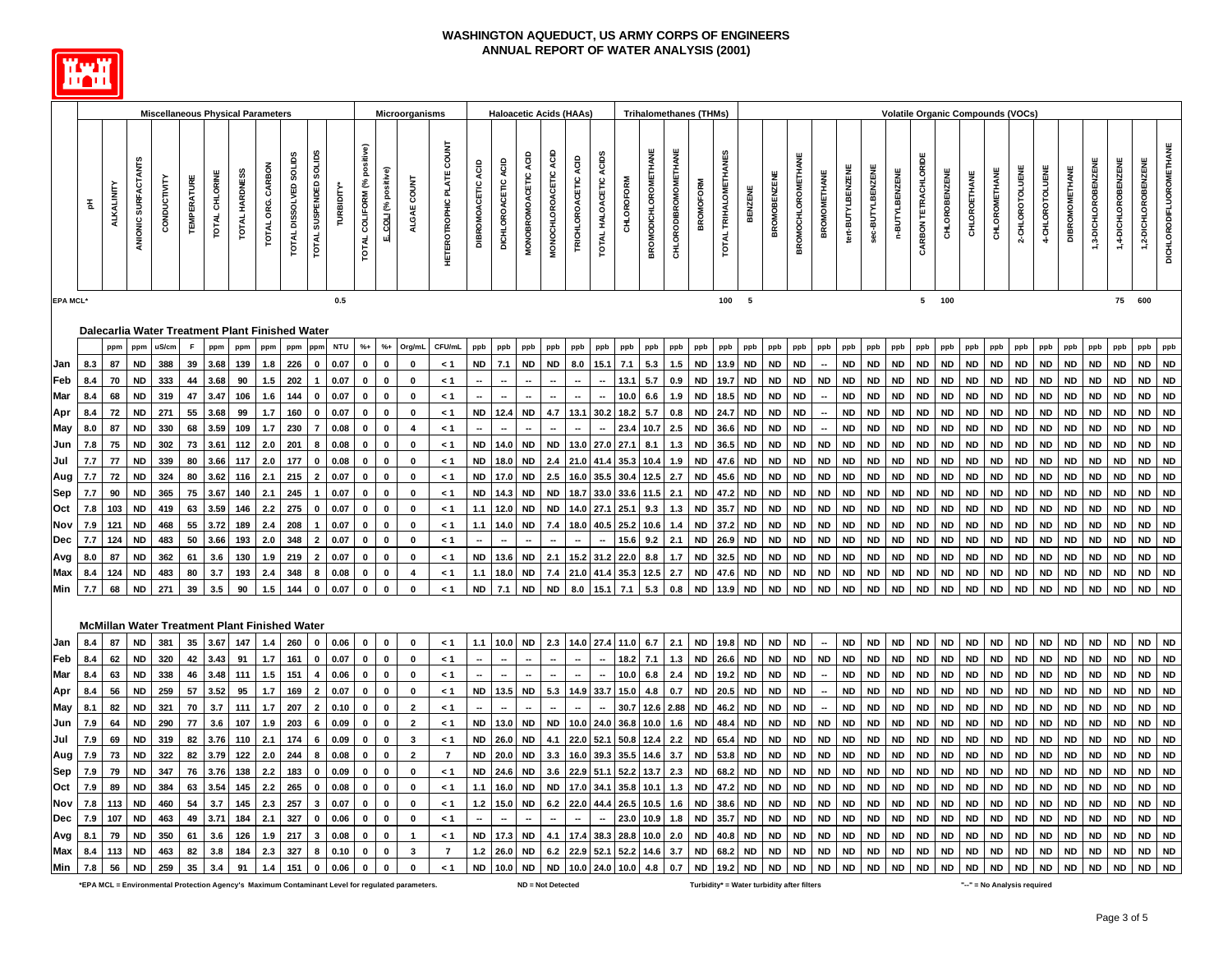

|                   |            |            |                        | <b>Miscellaneous Physical Parameters</b>             |                    |                |                |                   |                        |                                      |                        |                                |                            | <b>Microorganisms</b>                     |                           |                                   |                     |                        | <b>Haloacetic Acids (HAAs)</b> |                      |                          |                   |                             |                     | <b>Trihalomethanes (THMs)</b> |                       |                        |                        |                           |                          |                        |                        | Volatile Organic Compounds (VOCs) |                        |                        |                        |                        |                 |                        |                        |                        |                        |                        |                                |
|-------------------|------------|------------|------------------------|------------------------------------------------------|--------------------|----------------|----------------|-------------------|------------------------|--------------------------------------|------------------------|--------------------------------|----------------------------|-------------------------------------------|---------------------------|-----------------------------------|---------------------|------------------------|--------------------------------|----------------------|--------------------------|-------------------|-----------------------------|---------------------|-------------------------------|-----------------------|------------------------|------------------------|---------------------------|--------------------------|------------------------|------------------------|-----------------------------------|------------------------|------------------------|------------------------|------------------------|-----------------|------------------------|------------------------|------------------------|------------------------|------------------------|--------------------------------|
|                   |            |            |                        |                                                      |                    |                |                |                   |                        |                                      |                        |                                |                            |                                           |                           |                                   |                     |                        |                                |                      |                          |                   |                             |                     |                               |                       |                        |                        |                           |                          |                        |                        |                                   |                        |                        |                        |                        |                 |                        |                        |                        |                        |                        |                                |
|                   | 玉          | ALKALINITY | ANIONIC SURFACTANTS    | CONDUCTIVITY                                         | <b>TEMPERATURE</b> | TOTAL CHLORINE | TOTAL HARDNESS | TOTAL ORG. CARBON | TOTAL DISSOLVED SOLIDS | TOTAL SUSPENDED SOLIDS               | TURBIDITY <sup>*</sup> | positive)<br>TOTAL COLIFORM (% | E. COLI (% positive)       | ALGAE COUNT                               | HETEROTROPHIC PLATE COUNT | <b>DIBROMOACETIC ACID</b>         | DICHLOROACETIC ACID | MONOBROMOACETIC ACID   | MONOCHLOROACETIC ACID          | TRICHLOROACETIC ACID | TOTAL HALOACETIC ACIDS   | <b>CHLOROFORM</b> | <b>BROMODICHLOROMETHANE</b> | CHLORODIBROMOMETHAN | <b>BROMOFORM</b>              | TOTAL TRIHALOMETHANES | BENZENE                | <b>BROMOBENZE</b>      | <b>BROMOCHLOROMETHANE</b> | <b>BROMOMETHANE</b>      | tert-BUTYLBENZENE      | sec-BUTYLBENZENE       | n-BUTYLBENZENE                    | CARBON TETRACHLORIDE   | <b>CHLOROBENZENE</b>   | CHLOROETHANE           | CHLOROMETHANE          | 2-CHLOROTOLUENE | 4-CHLOROTOLUENE        | <b>DIBROMOMETHANE</b>  | 1,3-DICHLOROBENZENE    | 1,4-DICHLOROBENZENE    | 2-DICHLOROBENZENE      | <b>DICHLORODIFLUOROMETHANE</b> |
| <b>EPA MCL'</b>   |            |            |                        |                                                      |                    |                |                |                   |                        |                                      | 0.5                    |                                |                            |                                           |                           |                                   |                     |                        |                                |                      |                          |                   |                             |                     |                               | 100                   | 5                      |                        |                           |                          |                        |                        |                                   |                        | 5 100                  |                        |                        |                 |                        |                        |                        | 75 600                 |                        |                                |
|                   |            |            |                        | Dalecarlia Water Treatment Plant Finished Water      |                    |                |                |                   |                        |                                      |                        |                                |                            |                                           |                           |                                   |                     |                        |                                |                      |                          |                   |                             |                     |                               |                       |                        |                        |                           |                          |                        |                        |                                   |                        |                        |                        |                        |                 |                        |                        |                        |                        |                        |                                |
|                   |            | ppm        | ppm                    | uS/cm                                                | $\mathsf F$        | ppm            | ppm            | ppm               | ppm                    | ppm                                  | <b>NTU</b>             | $%+$                           | $% +$                      | Org/mL                                    | CFU/mL                    | ppb                               | ppb                 | ppb                    | ppb                            | ppb                  | ppb                      | ppb               | ppb                         | ppb                 | ppb                           | ppb                   | ppb                    | ppb                    | ppb                       | ppb                      | ppb                    | ppb                    | ppb                               | ppb                    | ppb                    | ppb                    | ppb                    | ppb             | ppb                    | ppb                    | ppb                    | ppb                    | ppb                    | ppb                            |
| Jan               | 8.3        | 87         | <b>ND</b>              | 388                                                  | 39                 | 3.68           | 139            | 1.8               | 226                    | $\mathbf{0}$                         | 0.07                   |                                | $\mathbf{0}$               | 0                                         | < 1                       | <b>ND</b>                         | 7.1                 | <b>ND</b>              | ND                             | 8.0                  | 15.7                     | 7.1               | 5.3                         | 1.5                 | <b>ND</b>                     | 13.9                  | <b>ND</b>              | <b>ND</b>              | <b>ND</b>                 |                          | <b>ND</b>              | <b>ND</b>              | <b>ND</b>                         | <b>ND</b>              | <b>ND</b>              | <b>ND</b>              | <b>ND</b>              | ND              | <b>ND</b>              | <b>ND</b>              | <b>ND</b>              | <b>ND</b>              | <b>ND</b>              | <b>ND</b>                      |
| Feb               | 8.4        | 70         | <b>ND</b>              | 333                                                  | 44                 | 3.68           | 90             | 1.5               | 202                    |                                      | 0.07                   | $\Omega$                       | $\mathbf 0$                | $\Omega$                                  | < 1                       |                                   |                     |                        |                                |                      |                          | 13.1              | 5.7                         | 0.9                 | <b>ND</b>                     | 19.7                  | <b>ND</b>              | <b>ND</b>              | <b>ND</b>                 | <b>ND</b>                | <b>ND</b>              | <b>ND</b>              | <b>ND</b>                         | <b>ND</b>              | <b>ND</b>              | <b>ND</b>              | <b>ND</b>              | <b>ND</b>       | <b>ND</b>              | <b>ND</b>              | <b>ND</b>              | <b>ND</b>              | <b>ND</b>              | ND                             |
| Mar               | 8.4        | 68         | <b>ND</b>              | 319                                                  | 47                 | 3.47           | 106            | 1.6               | 144                    | $\mathbf 0$                          | 0.07                   | 0                              | $\mathbf 0$                | 0                                         | < 1                       | $\overline{\phantom{a}}$          |                     |                        |                                |                      | $\overline{\phantom{a}}$ | 10.0              | 6.6                         | 1.9                 | <b>ND</b>                     | 18.5                  | <b>ND</b>              | <b>ND</b>              | <b>ND</b>                 | $\overline{\phantom{a}}$ | <b>ND</b>              | <b>ND</b>              | <b>ND</b>                         | <b>ND</b>              | <b>ND</b>              | <b>ND</b>              | <b>ND</b>              | ND              | <b>ND</b>              | <b>ND</b>              | <b>ND</b>              | <b>ND</b>              | <b>ND</b>              | ${\sf ND}$                     |
| Apr               | 8.4        | 72         | <b>ND</b>              | 271                                                  | 55                 | 3.68           | 99             | 1.7               | 160                    | $\mathbf{0}$                         | 0.07                   |                                | $\mathbf 0$                | $\bf{0}$                                  | $\leq 1$                  | <b>ND</b>                         | 12.4                | <b>ND</b>              | 4.7                            | 13.1                 | 30.2                     | 18.2              | 5.7                         | 0.8                 | <b>ND</b>                     | 24.7                  | <b>ND</b>              | <b>ND</b>              | <b>ND</b>                 |                          | <b>ND</b>              | <b>ND</b>              | <b>ND</b>                         | <b>ND</b>              | <b>ND</b>              | <b>ND</b>              | <b>ND</b>              | <b>ND</b>       | <b>ND</b>              | <b>ND</b>              | <b>ND</b>              | <b>ND</b>              | <b>ND</b>              | <b>ND</b>                      |
| May               | 8.0        | 87         | <b>ND</b>              | 330                                                  | 68                 | 3.59           | 109            | 1.7               | 230                    | $\overline{7}$                       | 0.08                   |                                | $\mathbf 0$                | $\overline{4}$                            | < 1                       |                                   |                     |                        |                                |                      |                          | 23.4              | 10.7                        | 2.5                 | <b>ND</b>                     | 36.6                  | <b>ND</b>              | <b>ND</b>              | <b>ND</b>                 | $\overline{\phantom{a}}$ | <b>ND</b>              | <b>ND</b>              | <b>ND</b>                         | <b>ND</b>              | <b>ND</b>              | <b>ND</b>              | <b>ND</b>              | ND              | <b>ND</b>              | <b>ND</b>              | <b>ND</b>              | <b>ND</b>              | <b>ND</b>              | <b>ND</b>                      |
| Jun               | 7.8        | 75         | <b>ND</b>              | 302                                                  | 73                 | 3.61           | 112            | 2.0               | 201                    | 8                                    | 0.08                   | 0                              | $\pmb{0}$                  | $\mathbf 0$                               | < 1                       | <b>ND</b>                         | 14.0                | <b>ND</b>              | <b>ND</b>                      | 13.0                 | 27.0                     | 27.1              | 8.1                         | 1.3                 | <b>ND</b>                     | 36.5                  | <b>ND</b>              | <b>ND</b>              | <b>ND</b>                 | <b>ND</b>                | <b>ND</b>              | ND                     | <b>ND</b>                         | <b>ND</b>              | <b>ND</b>              | <b>ND</b>              | <b>ND</b>              | <b>ND</b>       | <b>ND</b>              | <b>ND</b>              | <b>ND</b>              | <b>ND</b>              | <b>ND</b>              | <b>ND</b>                      |
| Jul               | 7.7        | 77         | <b>ND</b>              | 339                                                  | 80                 | 3.66           | 117            | 2.0               | 177                    | $\mathbf 0$                          | 0.08                   | $\mathbf 0$                    | $\mathbf 0$                | $\mathbf 0$                               | < 1                       | <b>ND</b>                         | 18.0                | <b>ND</b>              | 2.4                            | 21.0                 | 41.4                     | 35.3              | 10.4                        | 1.9                 | <b>ND</b>                     | 47.6                  | <b>ND</b>              | <b>ND</b>              | <b>ND</b>                 | <b>ND</b>                | <b>ND</b>              | <b>ND</b>              | <b>ND</b>                         | <b>ND</b>              | <b>ND</b>              | <b>ND</b>              | <b>ND</b>              | ND              | <b>ND</b>              | <b>ND</b>              | <b>ND</b>              | <b>ND</b>              | <b>ND</b>              | <b>ND</b>                      |
| Aug               | 7.7        | 72         | <b>ND</b>              | 324                                                  | 80                 | 3.62           | 116            | 2.1               | 215                    | $\overline{2}$                       | 0.07                   | $\mathbf 0$                    | $\pmb{0}$                  | $\mathbf 0$                               | < 1                       | <b>ND</b>                         | 17.0                | <b>ND</b>              | 2.5                            | 16.0                 | 35.5                     | 30.4              | 12.5                        | 2.7                 | <b>ND</b>                     | 45.6                  | <b>ND</b>              | <b>ND</b>              | <b>ND</b>                 | <b>ND</b>                | <b>ND</b>              | <b>ND</b>              | <b>ND</b>                         | <b>ND</b>              | <b>ND</b>              | <b>ND</b>              | <b>ND</b>              | ND              | <b>ND</b>              | <b>ND</b>              | <b>ND</b>              | <b>ND</b>              | <b>ND</b>              | ${\sf ND}$                     |
| Sep               | 7.7        | 90         | <b>ND</b>              | 365                                                  | 75                 | 3.67           | 140            | 2.1               | 245                    |                                      | 0.07                   | 0                              | $\mathbf 0$                | $\mathbf 0$                               | < 1                       | <b>ND</b>                         | 14.3                | <b>ND</b>              | <b>ND</b>                      | 18.7                 | 33.0                     | 33.6              | 11.5                        | 2.1                 | <b>ND</b>                     | 47.2                  | <b>ND</b>              | <b>ND</b>              | <b>ND</b>                 | <b>ND</b>                | <b>ND</b>              | <b>ND</b>              | <b>ND</b>                         | <b>ND</b>              | <b>ND</b>              | <b>ND</b>              | <b>ND</b>              | ND              | <b>ND</b>              | <b>ND</b>              | <b>ND</b>              | <b>ND</b>              | <b>ND</b>              | <b>ND</b>                      |
| Oct               | 7.8        | 103        | <b>ND</b>              | 419                                                  | 63                 | 3.59           | 146            | 2.2               | 275                    | $\mathbf 0$                          | 0.07                   | 0                              | $\mathbf 0$                | $\pmb{0}$                                 | < 1                       | 1.1                               | 12.0                | <b>ND</b>              | <b>ND</b>                      | 14.0                 | 27.1                     | 25.1              | 9.3                         | 1.3                 | <b>ND</b>                     | 35.7                  | <b>ND</b>              | <b>ND</b>              | <b>ND</b>                 | <b>ND</b>                | <b>ND</b>              | <b>ND</b>              | <b>ND</b>                         | <b>ND</b>              | <b>ND</b>              | <b>ND</b>              | <b>ND</b>              | ND              | <b>ND</b>              | <b>ND</b>              | <b>ND</b>              | <b>ND</b>              | <b>ND</b>              | ND                             |
| Nov               | 7.9        | 121        | <b>ND</b>              | 468                                                  | 55                 | 3.72           | 189            | 2.4               | 208                    | $\overline{\phantom{a}}$             | 0.07                   |                                | $\mathbf 0$                | $\bf{0}$                                  | < 1                       | 1.1                               | 14.0                | <b>ND</b>              | 7.4                            | 18.0                 | 40.5                     | 25.2              | 10.6                        |                     | <b>ND</b>                     | 37.2                  | <b>ND</b>              | <b>ND</b>              | <b>ND</b>                 | <b>ND</b>                | <b>ND</b>              | <b>ND</b>              | <b>ND</b>                         | <b>ND</b>              | <b>ND</b>              | <b>ND</b>              | <b>ND</b>              | <b>ND</b>       | <b>ND</b>              | <b>ND</b>              | <b>ND</b>              | <b>ND</b>              | <b>ND</b>              | <b>ND</b>                      |
| <b>Dec</b>        | 7.7        | 124        | <b>ND</b>              | 483                                                  | 50                 | 3.66           | 193            | 2.0               | 348                    |                                      | 0.07                   |                                | $\mathbf{0}$               | $\mathbf 0$                               | < 1                       |                                   |                     |                        |                                |                      |                          | 15.6              | 9.2                         | 2.1                 | <b>ND</b>                     | 26.9                  | <b>ND</b>              | <b>ND</b>              | <b>ND</b>                 | <b>ND</b>                | <b>ND</b>              | <b>ND</b>              | ND                                | <b>ND</b>              | <b>ND</b>              | <b>ND</b>              | <b>ND</b>              | <b>ND</b>       | <b>ND</b>              | <b>ND</b>              | <b>ND</b>              | <b>ND</b>              | <b>ND</b>              | ND                             |
| <b>Avg</b>        | 8.0        | 87         | <b>ND</b>              | 362                                                  | 61                 | 3.6            | 130            | 1.9               | 219                    | $\overline{2}$                       | 0.07                   | $\mathbf 0$                    | 0                          | $\bf{0}$<br>$\overline{\mathbf{4}}$       | < 1                       | <b>ND</b>                         | 13.6                | <b>ND</b>              | 2.1                            | 15.2                 | 31.2                     | 22.0              | 8.8                         | 1.7                 | <b>ND</b>                     | 32.5                  | <b>ND</b>              | <b>ND</b>              | <b>ND</b>                 | <b>ND</b>                | <b>ND</b>              | <b>ND</b>              | <b>ND</b>                         | <b>ND</b>              | <b>ND</b>              | <b>ND</b>              | <b>ND</b>              | ND              | <b>ND</b>              | <b>ND</b>              | <b>ND</b>              | <b>ND</b>              | <b>ND</b>              | ND                             |
| Max               | 8.4<br>7.7 | 124<br>68  | ND                     | 483<br>271                                           | 80                 | 3.7<br>3.5     | 193<br>90      | 2.4<br>1.5        | 348<br>144             | 8<br>$\mathbf{0}$                    | 0.08                   | $\mathbf 0$                    | $\pmb{0}$<br>$\mathbf{0}$  | $\bf{0}$                                  | < 1                       | 1.1                               | 18.0                | <b>ND</b><br><b>ND</b> | 7.4<br><b>ND</b>               | 21.0<br>8.0          | 41.4                     | 35.3              | 12.5<br>5.3                 | 2.7                 | <b>ND</b><br><b>ND</b>        | 47.6                  | <b>ND</b>              | <b>ND</b>              | <b>ND</b><br><b>ND</b>    | <b>ND</b><br><b>ND</b>   | <b>ND</b>              | <b>ND</b><br>ND        | <b>ND</b><br><b>ND</b>            | <b>ND</b><br><b>ND</b> | <b>ND</b>              | <b>ND</b>              | <b>ND</b><br><b>ND</b> | ND<br>ND        | <b>ND</b><br><b>ND</b> | <b>ND</b><br><b>ND</b> | <b>ND</b><br><b>ND</b> | <b>ND</b><br><b>ND</b> | <b>ND</b><br><b>ND</b> | ND<br><b>ND</b>                |
| Min               |            |            | <b>ND</b>              |                                                      | 39                 |                |                |                   |                        |                                      | 0.07                   |                                |                            |                                           | < 1                       | <b>ND</b>                         | 7.1                 |                        |                                |                      | 15.1                     | 7.1               |                             | 0.8                 |                               | 13.9                  | <b>ND</b>              | <b>ND</b>              |                           |                          | <b>ND</b>              |                        |                                   |                        | <b>ND</b>              | <b>ND</b>              |                        |                 |                        |                        |                        |                        |                        |                                |
|                   |            |            |                        |                                                      |                    |                |                |                   |                        |                                      |                        |                                |                            |                                           |                           |                                   |                     |                        |                                |                      |                          |                   |                             |                     |                               |                       |                        |                        |                           |                          |                        |                        |                                   |                        |                        |                        |                        |                 |                        |                        |                        |                        |                        |                                |
|                   |            |            |                        | <b>McMillan Water Treatment Plant Finished Water</b> |                    |                |                |                   |                        |                                      |                        |                                |                            |                                           |                           |                                   |                     |                        |                                |                      |                          |                   |                             |                     |                               |                       |                        |                        |                           |                          |                        |                        |                                   |                        |                        |                        |                        |                 |                        |                        |                        |                        |                        |                                |
| Jan               | 8.4        | 87         | <b>ND</b>              | 381                                                  | 35                 | 3.67           | 147            | 1.4               | 260                    | $\mathbf 0$                          | 0.06                   | $\mathbf 0$                    | $\mathbf 0$                | $\mathbf 0$                               | < 1                       | 1.1                               |                     | $10.0$ ND              | 2.3                            |                      | 14.0 27.4                | 11.0              | 6.7                         | 2.1                 | <b>ND</b>                     | 19.8                  | <b>ND</b>              | <b>ND</b>              | <b>ND</b>                 | $\overline{\phantom{a}}$ | <b>ND</b>              | <b>ND</b>              | <b>ND</b>                         | <b>ND</b>              | <b>ND</b>              | <b>ND</b>              | <b>ND</b>              | <b>ND</b>       | <b>ND</b>              | <b>ND</b>              | <b>ND</b>              | <b>ND</b>              | <b>ND</b>              | <b>ND</b>                      |
| Feb               | 8.4        | 62         | <b>ND</b>              | 320                                                  | 42                 | 3.43           | 91             | 1.7               | 161                    | $\mathbf{0}$                         | 0.07                   | $\mathbf{0}$                   | $\pmb{0}$                  | $\mathbf 0$                               | $\leq 1$                  | $\overline{\phantom{a}}$          |                     |                        |                                |                      |                          | 18.2              | 7.1                         | 1.3                 | <b>ND</b>                     | 26.6                  | <b>ND</b>              | <b>ND</b>              | <b>ND</b>                 | <b>ND</b>                | <b>ND</b>              | <b>ND</b>              | <b>ND</b>                         | <b>ND</b>              | <b>ND</b>              | <b>ND</b>              | <b>ND</b>              | ND              | <b>ND</b>              | <b>ND</b>              | <b>ND</b>              | <b>ND</b>              | <b>ND</b>              | <b>ND</b>                      |
| Mar               | 8.4        | 63         | <b>ND</b>              | 338                                                  | 46                 | 3.48           | 111            | 1.5               | 151                    | $\overline{4}$                       | 0.06                   | $\mathbf 0$                    | 0                          | 0                                         | < 1                       |                                   |                     |                        |                                |                      |                          | 10.0              | 6.8                         | 2.4                 | <b>ND</b>                     | 19.2                  | <b>ND</b>              | <b>ND</b>              | <b>ND</b>                 |                          | <b>ND</b>              | <b>ND</b>              | <b>ND</b>                         | <b>ND</b>              | <b>ND</b>              | <b>ND</b>              | <b>ND</b>              | ND              | <b>ND</b>              | <b>ND</b>              | <b>ND</b>              | <b>ND</b>              | <b>ND</b>              | ND                             |
| Apr               | 8.4        | 56         | <b>ND</b>              | 259                                                  | 57                 | 3.52           | 95             | 1.7               | 169                    | $\overline{2}$                       | 0.07                   |                                | 0                          | 0                                         | < 1                       | <b>ND</b>                         | 13.5                | <b>ND</b>              | 5.3                            | 14.9                 | 33.7                     | 15.0              | 4.8                         | 0.7                 | <b>ND</b>                     | 20.5                  | <b>ND</b>              | <b>ND</b>              | <b>ND</b>                 | ۰.                       | <b>ND</b>              | <b>ND</b>              | <b>ND</b>                         | <b>ND</b>              | <b>ND</b>              | <b>ND</b>              | <b>ND</b>              | ND              | <b>ND</b>              | <b>ND</b>              | <b>ND</b>              | <b>ND</b>              | <b>ND</b>              | ND                             |
| May               | 8.1        | 82         | <b>ND</b>              | 321                                                  | 70                 | 3.7            | 111            | 1.7               | 207                    | $\overline{2}$                       | 0.10                   | $\mathbf{0}$                   | $\pmb{0}$                  | $\mathbf{2}$                              | < 1                       |                                   |                     |                        |                                |                      |                          | 30.7              | 12.6                        | 2.88                | <b>ND</b>                     | 46.2                  | <b>ND</b>              | <b>ND</b>              | <b>ND</b>                 | $\overline{\phantom{a}}$ | <b>ND</b>              | <b>ND</b>              | <b>ND</b>                         | <b>ND</b>              | <b>ND</b>              | <b>ND</b>              | <b>ND</b>              | ND              | <b>ND</b>              | <b>ND</b>              | <b>ND</b>              | <b>ND</b>              | <b>ND</b>              | ${\sf ND}$                     |
| Jun               | 7.9        | 64         | <b>ND</b>              | 290                                                  | 77                 | 3.6            | 107            | 1.9               | 203                    | 6                                    | 0.09                   | 0                              | $\mathbf 0$                | $\overline{2}$                            | < 1                       | <b>ND</b>                         | 13.0                | <b>ND</b>              | <b>ND</b>                      | 10.0                 | 24.0                     | 36.8              | 10.0                        | 1.6                 | <b>ND</b>                     | 48.4                  | <b>ND</b>              | <b>ND</b>              | <b>ND</b>                 | <b>ND</b>                | <b>ND</b>              | <b>ND</b>              | <b>ND</b>                         | <b>ND</b>              | <b>ND</b>              | <b>ND</b>              | <b>ND</b>              | ND              | <b>ND</b>              | <b>ND</b>              | <b>ND</b>              | <b>ND</b>              | <b>ND</b>              | <b>ND</b>                      |
| Jul               | 7.9        | 69         | <b>ND</b>              | 319                                                  | 82                 | 3.76           | 110            | 2.1               | 174                    | 6                                    | 0.09                   |                                | $\mathbf{0}$               | 3                                         | < 1                       | <b>ND</b>                         | 26.0                | <b>ND</b>              |                                | 22.0                 | 52.                      |                   | 12.4                        | 2.2                 | <b>ND</b>                     | 65.4                  | <b>ND</b>              | <b>ND</b>              | <b>ND</b>                 | <b>ND</b>                | <b>ND</b>              | <b>ND</b>              | <b>ND</b>                         | <b>ND</b>              | <b>ND</b>              | <b>ND</b>              | <b>ND</b>              | <b>ND</b>       | <b>ND</b>              | <b>ND</b>              | <b>ND</b>              | <b>ND</b>              | <b>ND</b>              | <b>ND</b>                      |
| Aug               | 7.9        | 73         | <b>ND</b>              | 322                                                  | 82                 | 3.79           | 122            | 2.0               | 244                    | 8                                    | 0.08                   | 0                              | $\mathbf{0}$               | $\mathbf{2}$                              | $\overline{7}$            | <b>ND</b>                         | 20.0                | <b>ND</b>              | 3.3                            | 16.0                 | 39.3                     | 35.5              | 14.6                        | 3.7                 | <b>ND</b>                     | 53.8                  | <b>ND</b>              | <b>ND</b>              | <b>ND</b>                 | <b>ND</b>                | <b>ND</b>              | <b>ND</b>              | <b>ND</b>                         | <b>ND</b>              | <b>ND</b>              | <b>ND</b>              | <b>ND</b>              | ND              | <b>ND</b>              | <b>ND</b>              | <b>ND</b>              | <b>ND</b>              | <b>ND</b>              | <b>ND</b>                      |
| Sep               | 7.9        | 79         | <b>ND</b>              | 347                                                  | 76                 | 3.76           | 138            | 2.2               | 183                    | $\mathbf 0$                          | 0.09                   | 0                              | $\pmb{0}$                  | 0                                         | $\leq 1$                  | <b>ND</b>                         | 24.6                | <b>ND</b>              | 3.6                            | 22.9                 | 51.                      |                   | 13.7                        | 2.3                 | <b>ND</b>                     | 68.2                  | <b>ND</b>              | <b>ND</b>              | <b>ND</b>                 | <b>ND</b>                | <b>ND</b>              | <b>ND</b>              | <b>ND</b>                         | <b>ND</b>              | <b>ND</b>              | <b>ND</b>              | <b>ND</b>              | ND              | <b>ND</b>              | <b>ND</b>              | <b>ND</b>              | <b>ND</b>              | <b>ND</b>              | <b>ND</b>                      |
| Oct               | 7.9        | 89         | <b>ND</b>              | 384                                                  | 63                 | 3.54           | 145            | 2.2               | 265                    | $\mathbf 0$                          | 0.08                   | $\mathbf 0$                    | $\mathbf 0$                | $\mathbf 0$                               | < 1                       | 1.1                               | 16.0                | <b>ND</b>              | <b>ND</b>                      | 17.0                 | 34.1                     | 35.8              | 10.1                        | $1.3$               | <b>ND</b>                     | 47.2                  | <b>ND</b>              | <b>ND</b>              | <b>ND</b>                 | <b>ND</b>                | <b>ND</b>              | <b>ND</b>              | <b>ND</b>                         | <b>ND</b>              | <b>ND</b>              | <b>ND</b>              | <b>ND</b>              | ND              | <b>ND</b>              | <b>ND</b>              | <b>ND</b>              | <b>ND</b>              | <b>ND</b>              | <b>ND</b>                      |
| Nov               | 7.8<br>7.9 | 113<br>107 | <b>ND</b><br><b>ND</b> | 460<br>463                                           | 54<br>49           | 3.7<br>3.71    | 145<br>184     | 2.3<br>2.1        | 257<br>327             | $\overline{\mathbf{3}}$<br>$\pmb{0}$ | 0.07<br>0.06           | $\mathbf 0$<br>$\mathbf{0}$    | $\mathbf 0$<br>$\pmb{0}$   | $\mathbf 0$<br>$\pmb{0}$                  | < 1                       | $1.2$<br>$\overline{\phantom{a}}$ | 15.0                | <b>ND</b>              | 6.2                            | 22.0                 | 44.4                     | 26.5              | 10.5<br>10.9                | 1.6                 | <b>ND</b><br><b>ND</b>        | 38.6<br>35.7          | <b>ND</b><br><b>ND</b> | <b>ND</b>              | <b>ND</b>                 | <b>ND</b>                | <b>ND</b>              | <b>ND</b>              | <b>ND</b><br><b>ND</b>            | <b>ND</b>              | <b>ND</b>              | <b>ND</b>              | <b>ND</b>              | ND<br>ND        | <b>ND</b>              | <b>ND</b>              | <b>ND</b>              | <b>ND</b><br><b>ND</b> | <b>ND</b><br><b>ND</b> | ${\sf ND}$<br><b>ND</b>        |
| Dec               |            | 79         |                        |                                                      |                    |                |                |                   | 217                    |                                      | 0.08                   |                                |                            |                                           | < 1                       | <b>ND</b>                         | 17.3                |                        |                                |                      |                          | 23.0<br>28.8      | 10.0                        | 1.8                 |                               |                       |                        | <b>ND</b>              | <b>ND</b>                 | <b>ND</b>                | <b>ND</b><br><b>ND</b> | <b>ND</b>              |                                   | <b>ND</b><br><b>ND</b> | <b>ND</b><br><b>ND</b> | <b>ND</b><br><b>ND</b> | <b>ND</b>              | <b>ND</b>       | <b>ND</b><br><b>ND</b> | <b>ND</b><br><b>ND</b> | ND<br><b>ND</b>        | <b>ND</b>              |                        | ND                             |
| Avg<br><b>Max</b> | 8.1<br>8.4 | 113        | <b>ND</b><br><b>ND</b> | 350<br>463                                           | 61<br>82           | 3.6<br>3.8     | 126<br>184     | 1.9<br>2.3        | 327                    | 3<br>8                               | 0.10                   | 0<br>$\mathbf{0}$              | $\mathbf 0$<br>$\mathbf 0$ | $\overline{1}$<br>$\overline{\mathbf{3}}$ | < 1<br>$\overline{7}$     | 1.2                               | 26.0                | <b>ND</b><br><b>ND</b> | 4.1<br>6.2                     | 17.4<br>22.9         | 38.3<br>52.1             | 52.2              | 14.6                        | 2.0<br>3.7          | <b>ND</b><br><b>ND</b>        | 40.8<br>68.2          | <b>ND</b><br><b>ND</b> | <b>ND</b><br><b>ND</b> | <b>ND</b><br><b>ND</b>    | <b>ND</b><br><b>ND</b>   | <b>ND</b>              | <b>ND</b><br><b>ND</b> | <b>ND</b><br><b>ND</b>            | <b>ND</b>              | <b>ND</b>              | <b>ND</b>              | <b>ND</b><br><b>ND</b> | <b>ND</b>       | <b>ND</b>              | <b>ND</b>              | <b>ND</b>              | <b>ND</b>              | <b>ND</b><br><b>ND</b> | <b>ND</b>                      |

**\*EPA MCL = Environmental Protection Agency's Maximum Contaminant Level for regulated parameters. Turbidity\* = Water turbidity after filters "--" = No Analysis required**

**Min 7.8 56 ND 259 35 3.4 91 1.4 151 0 0.06 0 0 0 < 1 ND 10.0 ND ND 10.0 24.0 10.0 4.8 0.7 ND 19.2 ND ND ND ND ND ND ND ND ND ND ND ND ND ND ND ND ND ND**

**ND = Not Detected**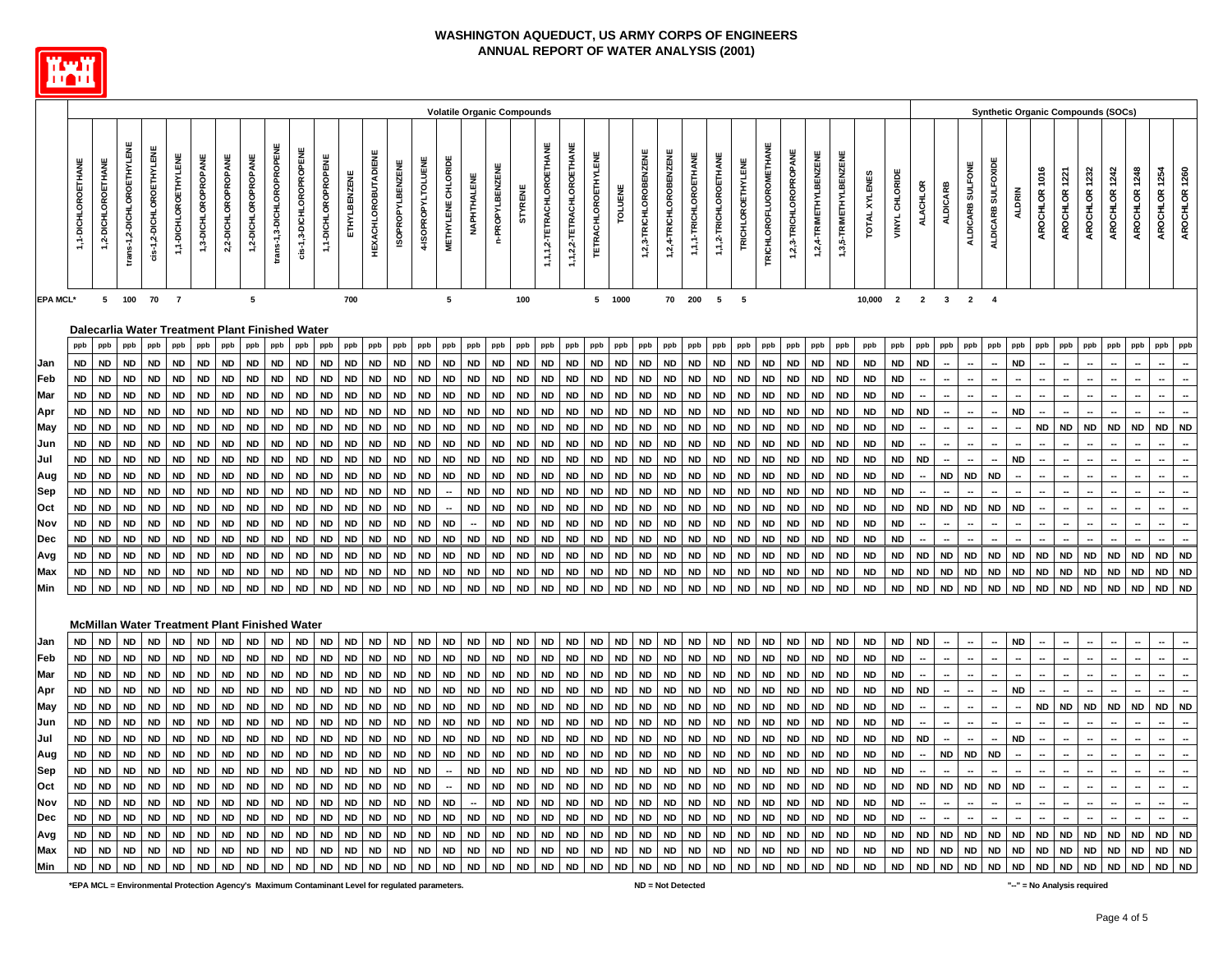

|                 |                        |                    |                            |                                                        |                      |                     |                     |                        |                           |                         |                        |              |                            |                         |                        |                    | <b>Volatile Organic Compounds</b> |                 |                |                           |                           |                            |                 |                        |                        |                       |                       |                          |                               |                        |                        |                        |               |                        |                          |                 |                  |                    |               |                  |               |                  | <b>Synthetic Organic Compounds (SOCs)</b> |               |                                |
|-----------------|------------------------|--------------------|----------------------------|--------------------------------------------------------|----------------------|---------------------|---------------------|------------------------|---------------------------|-------------------------|------------------------|--------------|----------------------------|-------------------------|------------------------|--------------------|-----------------------------------|-----------------|----------------|---------------------------|---------------------------|----------------------------|-----------------|------------------------|------------------------|-----------------------|-----------------------|--------------------------|-------------------------------|------------------------|------------------------|------------------------|---------------|------------------------|--------------------------|-----------------|------------------|--------------------|---------------|------------------|---------------|------------------|-------------------------------------------|---------------|--------------------------------|
|                 |                        |                    |                            |                                                        |                      |                     |                     |                        |                           |                         |                        |              |                            |                         |                        |                    |                                   |                 |                |                           |                           |                            |                 |                        |                        |                       |                       |                          |                               |                        |                        |                        |               |                        |                          |                 |                  |                    |               |                  |               |                  |                                           |               |                                |
|                 | 1,1-DICHLOROETHANE     | 1,2-DICHLOROETHANE | trans-1,2-DICHLOROETHYLENE | cis-1,2-DICHLOROETHYLENE                               | 1,1-DICHLOROETHYLENE | 1,3-DICHLOROPROPANE | 2,2-DICHLOROPROPANE | 1,2-DICHLOROPROPANE    | trans-1,3-DICHLOROPROPENE | dis-1,3-DICHLOROPROPENE | 1,1-DICHLOROPROPENE    | ETHYLBENZENE | <b>HEXACHLOROBUTADIENE</b> | <b>ISOPROPYLBENZENE</b> | 4-ISOPROPYLTOLUENE     | METHYLENE CHLORIDE | NAPHTHALENE                       | n-PROPYLBENZENE | <b>STYRENE</b> | 1,1,1,2-TETRACHLOROETHANE | 1,1,2,2-TETRACHLOROETHANE | <b>TETRACHLOROETHYLENE</b> | TOLUENE         | 1,2,3-TRICHLOROBENZENE | 1,2,4-TRICHLOROBENZENE | 1,1,1-TRICHLOROETHANE | 1,1,2-TRICHLOROETHANE | <b>TRICHLOROETHYLENE</b> | <b>TRICHLOROFLUOROMETHANE</b> | 1,2,3-TRICHLOROPROPANE | 1,2,4-TRIMETHYLBENZENE | 1,3,5-TRIMETHYLBENZENE | TOTAL XYLENES | VINYL CHLORIDE         | <b>ALACHLOR</b>          | <b>ALDICARB</b> | ALDICARB SULFONE | ALDICARB SULFOXIDE | <b>ALDRIN</b> | 1016<br>AROCHLOR | AROCHLOR 1221 | 1232<br>AROCHLOR | AROCHLOR 1242                             | AROCHLOR 1248 | AROCHLOR 1260<br>AROCHLOR 1254 |
| <b>EPA MCL*</b> |                        |                    | 5 100                      | 70 7                                                   |                      |                     |                     | 5                      |                           |                         |                        | 700          |                            |                         |                        | $5\phantom{a}$     |                                   |                 | 100            |                           |                           |                            | 5 1000          |                        |                        | 70 200                | 5 5                   |                          |                               |                        |                        |                        | 10,000        |                        |                          | 2 2 3 2 4       |                  |                    |               |                  |               |                  |                                           |               |                                |
|                 |                        |                    |                            |                                                        |                      |                     |                     |                        |                           |                         |                        |              |                            |                         |                        |                    |                                   |                 |                |                           |                           |                            |                 |                        |                        |                       |                       |                          |                               |                        |                        |                        |               |                        |                          |                 |                  |                    |               |                  |               |                  |                                           |               |                                |
|                 | ppb                    | ppb                | ppb                        | Dalecarlia Water Treatment Plant Finished Water<br>ppb | ppb                  | ppb                 | ppb                 | ppb                    | ppb                       | ppb                     | ppb                    | ppb          | ppb                        | ppb                     | ppb                    | ppb                | ppb                               | ppb             | ppb            | ppb                       | ppb                       | ppb                        | ppb             | ppb                    | ppb                    | ppb                   | ppb                   | ppb                      | ppb                           | ppb                    | ppb                    | ppb                    | ppb           | ppb                    | ppb                      | ppb             | ppb              | ppb                | ppb           | ppb              | ppb           | ppb              | ppb                                       | ppb           | ppb<br>ppb                     |
|                 |                        |                    |                            |                                                        |                      |                     |                     |                        |                           |                         |                        |              |                            |                         |                        |                    |                                   |                 |                |                           |                           |                            |                 |                        |                        |                       |                       |                          |                               |                        |                        |                        |               |                        |                          |                 |                  |                    |               |                  |               |                  |                                           |               |                                |
| Jan             | <b>ND</b>              | <b>ND</b>          | <b>ND</b>                  | ND                                                     | <b>ND</b>            | <b>ND</b>           | <b>ND</b>           | <b>ND</b>              | <b>ND</b>                 | <b>ND</b>               | <b>ND</b>              | <b>ND</b>    | <b>ND</b>                  | <b>ND</b>               | <b>ND</b>              | <b>ND</b>          | <b>ND</b>                         | <b>ND</b>       | <b>ND</b>      | <b>ND</b>                 | <b>ND</b>                 | <b>ND</b>                  | <b>ND</b>       | <b>ND</b>              | <b>ND</b>              | <b>ND</b>             | <b>ND</b>             | <b>ND</b>                | <b>ND</b>                     | <b>ND</b>              | <b>ND</b>              | <b>ND</b>              | <b>ND</b>     | <b>ND</b>              | <b>ND</b>                |                 |                  |                    | <b>ND</b>     |                  |               |                  |                                           |               |                                |
| Feb             | <b>ND</b>              | <b>ND</b>          | <b>ND</b>                  | <b>ND</b>                                              | <b>ND</b>            | <b>ND</b>           | <b>ND</b>           | <b>ND</b>              | <b>ND</b>                 | ND                      | <b>ND</b>              | <b>ND</b>    | <b>ND</b>                  | <b>ND</b><br><b>ND</b>  | <b>ND</b>              | <b>ND</b>          | <b>ND</b><br><b>ND</b>            | <b>ND</b>       | <b>ND</b>      | <b>ND</b>                 | <b>ND</b>                 | ND                         | ND<br><b>ND</b> | <b>ND</b>              | <b>ND</b>              | <b>ND</b>             | <b>ND</b>             | <b>ND</b>                | <b>ND</b>                     | <b>ND</b>              | <b>ND</b>              | <b>ND</b>              | <b>ND</b>     | <b>ND</b>              |                          |                 |                  |                    |               |                  |               |                  |                                           |               |                                |
| Mar             | <b>ND</b><br><b>ND</b> | <b>ND</b>          | <b>ND</b>                  | <b>ND</b>                                              | <b>ND</b>            | <b>ND</b>           | <b>ND</b>           | <b>ND</b><br><b>ND</b> | <b>ND</b>                 | ND                      | <b>ND</b><br><b>ND</b> | <b>ND</b>    | <b>ND</b>                  |                         | <b>ND</b><br><b>ND</b> | <b>ND</b>          | <b>ND</b>                         | <b>ND</b>       | <b>ND</b>      | <b>ND</b>                 | <b>ND</b><br><b>ND</b>    | <b>ND</b>                  | <b>ND</b>       | <b>ND</b>              | <b>ND</b>              | <b>ND</b>             | <b>ND</b>             | <b>ND</b>                | <b>ND</b>                     | <b>ND</b>              | <b>ND</b>              | <b>ND</b><br><b>ND</b> | <b>ND</b>     | <b>ND</b><br><b>ND</b> | <b>ND</b>                |                 |                  |                    | <b>ND</b>     |                  |               |                  |                                           |               |                                |
| Apr             |                        | <b>ND</b>          | <b>ND</b>                  | <b>ND</b>                                              | <b>ND</b>            | <b>ND</b>           | <b>ND</b>           |                        | <b>ND</b>                 | ND                      |                        | <b>ND</b>    | <b>ND</b>                  | <b>ND</b>               |                        | <b>ND</b>          |                                   | <b>ND</b>       | <b>ND</b>      | <b>ND</b>                 |                           | <b>ND</b>                  |                 | <b>ND</b>              | <b>ND</b>              | <b>ND</b>             | <b>ND</b>             | <b>ND</b>                | <b>ND</b>                     | <b>ND</b>              | <b>ND</b>              |                        | <b>ND</b>     |                        |                          |                 |                  |                    |               |                  |               |                  |                                           |               |                                |
| May             | <b>ND</b>              | <b>ND</b>          | <b>ND</b>                  | <b>ND</b>                                              | <b>ND</b>            | <b>ND</b>           | <b>ND</b>           | <b>ND</b>              | <b>ND</b>                 | <b>ND</b>               | <b>ND</b>              | <b>ND</b>    | <b>ND</b>                  | <b>ND</b>               | <b>ND</b>              | <b>ND</b>          | ND                                | <b>ND</b>       | <b>ND</b>      | <b>ND</b>                 | <b>ND</b>                 | <b>ND</b>                  | <b>ND</b>       | <b>ND</b>              | <b>ND</b>              | <b>ND</b>             | <b>ND</b>             | <b>ND</b>                | <b>ND</b>                     | <b>ND</b>              | <b>ND</b>              | <b>ND</b>              | <b>ND</b>     | <b>ND</b>              |                          |                 |                  |                    |               | <b>ND</b>        | <b>ND</b>     | <b>ND</b>        | <b>ND</b>                                 | <b>ND</b>     | <b>ND</b><br><b>ND</b>         |
| Jun             | <b>ND</b>              | <b>ND</b>          | <b>ND</b>                  | <b>ND</b>                                              | <b>ND</b>            | <b>ND</b>           | <b>ND</b>           | <b>ND</b>              | <b>ND</b>                 | <b>ND</b>               | <b>ND</b>              | <b>ND</b>    | <b>ND</b>                  | <b>ND</b>               | <b>ND</b>              | <b>ND</b>          | <b>ND</b>                         | <b>ND</b>       | <b>ND</b>      | <b>ND</b>                 | <b>ND</b>                 | <b>ND</b>                  | <b>ND</b>       | <b>ND</b>              | <b>ND</b>              | <b>ND</b>             | <b>ND</b>             | <b>ND</b>                | <b>ND</b>                     | <b>ND</b>              | <b>ND</b>              | <b>ND</b>              | <b>ND</b>     | <b>ND</b>              |                          |                 |                  |                    |               |                  |               |                  |                                           |               |                                |
| Jul             | <b>ND</b>              | <b>ND</b>          | ND                         | <b>ND</b>                                              | <b>ND</b>            | <b>ND</b>           | ND                  | ND                     | <b>ND</b>                 | <b>ND</b>               | <b>ND</b>              | <b>ND</b>    | <b>ND</b>                  | <b>ND</b>               | ND                     | <b>ND</b>          | ND                                | <b>ND</b>       | <b>ND</b>      | ND                        | <b>ND</b>                 | ND                         | ND              | <b>ND</b>              | <b>ND</b>              | ND                    | ND                    | <b>ND</b>                | ND                            | <b>ND</b>              | <b>ND</b>              | <b>ND</b>              | <b>ND</b>     | ND                     | ND                       |                 |                  |                    | <b>ND</b>     |                  |               |                  |                                           |               |                                |
| Aug             | <b>ND</b>              | <b>ND</b>          | <b>ND</b>                  | <b>ND</b>                                              | <b>ND</b>            | <b>ND</b>           | <b>ND</b>           | <b>ND</b>              | <b>ND</b>                 | <b>ND</b>               | <b>ND</b>              | <b>ND</b>    | <b>ND</b>                  | <b>ND</b>               | <b>ND</b>              | <b>ND</b>          | ND                                | <b>ND</b>       | <b>ND</b>      | <b>ND</b>                 | <b>ND</b>                 | <b>ND</b>                  | <b>ND</b>       | <b>ND</b>              | <b>ND</b>              | <b>ND</b>             | <b>ND</b>             | <b>ND</b>                | <b>ND</b>                     | <b>ND</b>              | <b>ND</b>              | <b>ND</b>              | <b>ND</b>     | <b>ND</b>              |                          | <b>ND</b>       | <b>ND</b>        | <b>ND</b>          |               |                  |               |                  |                                           |               |                                |
| Sep             | <b>ND</b>              | <b>ND</b>          | <b>ND</b>                  | <b>ND</b>                                              | <b>ND</b>            | <b>ND</b>           | <b>ND</b>           | <b>ND</b>              | <b>ND</b>                 | <b>ND</b>               | <b>ND</b>              | <b>ND</b>    | <b>ND</b>                  | <b>ND</b>               | <b>ND</b>              |                    | <b>ND</b>                         | <b>ND</b>       | <b>ND</b>      | <b>ND</b>                 | <b>ND</b>                 | <b>ND</b>                  | <b>ND</b>       | <b>ND</b>              | <b>ND</b>              | <b>ND</b>             | <b>ND</b>             | <b>ND</b>                | <b>ND</b>                     | <b>ND</b>              | <b>ND</b>              | <b>ND</b>              | <b>ND</b>     | <b>ND</b>              |                          |                 |                  |                    |               |                  |               |                  |                                           |               |                                |
| Oct             | <b>ND</b>              | <b>ND</b>          | ND                         | <b>ND</b>                                              | <b>ND</b>            | <b>ND</b>           | <b>ND</b>           | <b>ND</b>              | <b>ND</b>                 | ND                      | <b>ND</b>              | <b>ND</b>    | <b>ND</b>                  | <b>ND</b>               | <b>ND</b>              |                    | <b>ND</b>                         | <b>ND</b>       | <b>ND</b>      | <b>ND</b>                 | <b>ND</b>                 | <b>ND</b>                  | <b>ND</b>       | <b>ND</b>              | <b>ND</b>              | <b>ND</b>             | <b>ND</b>             | <b>ND</b>                | <b>ND</b>                     | <b>ND</b>              | <b>ND</b>              | <b>ND</b>              | <b>ND</b>     | <b>ND</b>              | <b>ND</b>                | <b>ND</b>       | <b>ND</b>        | <b>ND</b>          | <b>ND</b>     |                  |               |                  |                                           |               |                                |
| Nov             | <b>ND</b>              | <b>ND</b>          | <b>ND</b>                  | <b>ND</b>                                              | <b>ND</b>            | <b>ND</b>           | <b>ND</b>           | <b>ND</b>              | <b>ND</b>                 | <b>ND</b>               | <b>ND</b>              | <b>ND</b>    | <b>ND</b>                  | <b>ND</b>               | <b>ND</b>              | <b>ND</b>          |                                   | <b>ND</b>       | <b>ND</b>      | <b>ND</b>                 | <b>ND</b>                 | <b>ND</b>                  | <b>ND</b>       | <b>ND</b>              | <b>ND</b>              | <b>ND</b>             | <b>ND</b>             | <b>ND</b>                | <b>ND</b>                     | <b>ND</b>              | <b>ND</b>              | <b>ND</b>              | <b>ND</b>     | <b>ND</b>              |                          |                 |                  |                    |               |                  |               |                  |                                           |               |                                |
| Dec             | <b>ND</b>              | <b>ND</b>          | <b>ND</b>                  | <b>ND</b>                                              | <b>ND</b>            | <b>ND</b>           | <b>ND</b>           | <b>ND</b>              | <b>ND</b>                 | <b>ND</b>               | <b>ND</b>              | <b>ND</b>    | <b>ND</b>                  | <b>ND</b>               | <b>ND</b>              | <b>ND</b>          | <b>ND</b>                         | <b>ND</b>       | <b>ND</b>      | <b>ND</b>                 | <b>ND</b>                 | <b>ND</b>                  | <b>ND</b>       | <b>ND</b>              | <b>ND</b>              | <b>ND</b>             | <b>ND</b>             | <b>ND</b>                | <b>ND</b>                     | <b>ND</b>              | <b>ND</b>              | <b>ND</b>              | <b>ND</b>     | <b>ND</b>              |                          |                 |                  |                    |               |                  |               |                  |                                           |               |                                |
| Avg             | <b>ND</b>              | <b>ND</b>          | <b>ND</b>                  | <b>ND</b>                                              | <b>ND</b>            | <b>ND</b>           | <b>ND</b>           | <b>ND</b>              | <b>ND</b>                 | <b>ND</b>               | <b>ND</b>              | <b>ND</b>    | <b>ND</b>                  | <b>ND</b>               | <b>ND</b>              | <b>ND</b>          | <b>ND</b>                         | <b>ND</b>       | <b>ND</b>      | <b>ND</b>                 | <b>ND</b>                 | <b>ND</b>                  | <b>ND</b>       | <b>ND</b>              | <b>ND</b>              | <b>ND</b>             | <b>ND</b>             | <b>ND</b>                | <b>ND</b>                     | <b>ND</b>              | <b>ND</b>              | <b>ND</b>              | <b>ND</b>     | <b>ND</b>              | <b>ND</b>                | <b>ND</b>       | <b>ND</b>        | <b>ND</b>          | <b>ND</b>     | <b>ND</b>        | <b>ND</b>     | <b>ND</b>        | <b>ND</b>                                 | ND            | <b>ND</b><br><b>ND</b>         |
| Max             | <b>ND</b>              | <b>ND</b>          | ND                         | ND                                                     | ND                   | ND                  | ND                  | <b>ND</b>              | <b>ND</b>                 | ND                      | <b>ND</b>              | ND           | <b>ND</b>                  | <b>ND</b>               | <b>ND</b>              | <b>ND</b>          | ND                                | <b>ND</b>       | <b>ND</b>      | <b>ND</b>                 | ND                        | <b>ND</b>                  | <b>ND</b>       | <b>ND</b>              | <b>ND</b>              | ND                    | <b>ND</b>             | ND                       | ND                            | <b>ND</b>              | ND                     | <b>ND</b>              | <b>ND</b>     | <b>ND</b>              | <b>ND</b>                | ND              | ND               | ND                 | <b>ND</b>     | <b>ND</b>        | ND            | <b>ND</b>        | <b>ND</b>                                 | <b>ND</b>     | <b>ND</b><br><b>ND</b>         |
| Min             | <b>ND</b>              | <b>ND</b>          | <b>ND</b>                  | <b>ND</b>                                              | <b>ND</b>            | <b>ND</b>           | <b>ND</b>           | <b>ND</b>              | <b>ND</b>                 | <b>ND</b>               | <b>ND</b>              | <b>ND</b>    | <b>ND</b>                  | <b>ND</b>               | <b>ND</b>              | <b>ND</b>          | <b>ND</b>                         | <b>ND</b>       | <b>ND</b>      | <b>ND</b>                 | <b>ND</b>                 | <b>ND</b>                  | <b>ND</b>       | <b>ND</b>              | <b>ND</b>              | <b>ND</b>             | <b>ND</b>             | <b>ND</b>                | <b>ND</b>                     | <b>ND</b>              | <b>ND</b>              | <b>ND</b>              | <b>ND</b>     | <b>ND</b>              | <b>ND</b>                | <b>ND</b>       | <b>ND</b>        | <b>ND</b>          | <b>ND</b>     | <b>ND</b>        | <b>ND</b>     | <b>ND</b>        | <b>ND</b>                                 | <b>ND</b>     | <b>ND</b><br><b>ND</b>         |
|                 |                        |                    |                            |                                                        |                      |                     |                     |                        |                           |                         |                        |              |                            |                         |                        |                    |                                   |                 |                |                           |                           |                            |                 |                        |                        |                       |                       |                          |                               |                        |                        |                        |               |                        |                          |                 |                  |                    |               |                  |               |                  |                                           |               |                                |
|                 |                        |                    |                            | <b>McMillan Water Treatment Plant Finished Water</b>   |                      |                     |                     |                        |                           |                         |                        |              |                            |                         |                        |                    |                                   |                 |                |                           |                           |                            |                 |                        |                        |                       |                       |                          |                               |                        |                        |                        |               |                        |                          |                 |                  |                    |               |                  |               |                  |                                           |               |                                |
| Jan             | <b>ND</b>              | <b>ND</b>          | <b>ND</b>                  | <b>ND</b>                                              | <b>ND</b>            | <b>ND</b>           | <b>ND</b>           | <b>ND</b>              | <b>ND</b>                 | <b>ND</b>               | <b>ND</b>              | <b>ND</b>    | <b>ND</b>                  | <b>ND</b>               | <b>ND</b>              | <b>ND</b>          | <b>ND</b>                         | <b>ND</b>       | <b>ND</b>      | <b>ND</b>                 | <b>ND</b>                 | <b>ND</b>                  | <b>ND</b>       | <b>ND</b>              | <b>ND</b>              | <b>ND</b>             | <b>ND</b>             | <b>ND</b>                | <b>ND</b>                     | <b>ND</b>              | <b>ND</b>              | <b>ND</b>              | <b>ND</b>     | <b>ND</b>              | <b>ND</b>                |                 |                  |                    | <b>ND</b>     |                  |               |                  |                                           |               |                                |
| Feb             | <b>ND</b>              | <b>ND</b>          | <b>ND</b>                  | <b>ND</b>                                              | <b>ND</b>            | <b>ND</b>           | <b>ND</b>           | <b>ND</b>              | <b>ND</b>                 | <b>ND</b>               | <b>ND</b>              | <b>ND</b>    | <b>ND</b>                  | <b>ND</b>               | <b>ND</b>              | <b>ND</b>          | <b>ND</b>                         | <b>ND</b>       | <b>ND</b>      | <b>ND</b>                 | <b>ND</b>                 | <b>ND</b>                  | <b>ND</b>       | <b>ND</b>              | <b>ND</b>              | <b>ND</b>             | <b>ND</b>             | <b>ND</b>                | <b>ND</b>                     | <b>ND</b>              | <b>ND</b>              | <b>ND</b>              | <b>ND</b>     | <b>ND</b>              |                          |                 |                  |                    |               |                  |               |                  |                                           |               |                                |
| Mar             | <b>ND</b>              | <b>ND</b>          | <b>ND</b>                  | <b>ND</b>                                              | <b>ND</b>            | <b>ND</b>           | <b>ND</b>           | <b>ND</b>              | <b>ND</b>                 | <b>ND</b>               | <b>ND</b>              | <b>ND</b>    | <b>ND</b>                  | <b>ND</b>               | <b>ND</b>              | <b>ND</b>          | <b>ND</b>                         | <b>ND</b>       | <b>ND</b>      | <b>ND</b>                 | <b>ND</b>                 | <b>ND</b>                  | <b>ND</b>       | <b>ND</b>              | <b>ND</b>              | <b>ND</b>             | <b>ND</b>             | <b>ND</b>                | <b>ND</b>                     | <b>ND</b>              | <b>ND</b>              | <b>ND</b>              | <b>ND</b>     | <b>ND</b>              |                          |                 |                  |                    |               |                  |               |                  |                                           |               |                                |
| Apr             | <b>ND</b>              | <b>ND</b>          | <b>ND</b>                  | ND                                                     | ND                   | <b>ND</b>           | <b>ND</b>           | <b>ND</b>              | <b>ND</b>                 | ND                      | <b>ND</b>              | <b>ND</b>    | <b>ND</b>                  | <b>ND</b>               | <b>ND</b>              | <b>ND</b>          | <b>ND</b>                         | <b>ND</b>       | <b>ND</b>      | <b>ND</b>                 | <b>ND</b>                 | <b>ND</b>                  | ND              | <b>ND</b>              | <b>ND</b>              | <b>ND</b>             | <b>ND</b>             | <b>ND</b>                | <b>ND</b>                     | <b>ND</b>              | <b>ND</b>              | <b>ND</b>              | <b>ND</b>     | <b>ND</b>              | <b>ND</b>                |                 |                  |                    | <b>ND</b>     |                  |               |                  |                                           |               |                                |
| May             | <b>ND</b>              | <b>ND</b>          | ND                         | ND                                                     | ND                   | <b>ND</b>           | ND                  | <b>ND</b>              | <b>ND</b>                 | <b>ND</b>               | <b>ND</b>              | <b>ND</b>    | <b>ND</b>                  | <b>ND</b>               | <b>ND</b>              | <b>ND</b>          | <b>ND</b>                         | <b>ND</b>       | <b>ND</b>      | <b>ND</b>                 | ND                        | <b>ND</b>                  | <b>ND</b>       | <b>ND</b>              | <b>ND</b>              | <b>ND</b>             | ND                    | <b>ND</b>                | <b>ND</b>                     | <b>ND</b>              | <b>ND</b>              | <b>ND</b>              | <b>ND</b>     | ND                     |                          |                 |                  |                    |               | <b>ND</b>        | <b>ND</b>     | <b>ND</b>        | <b>ND</b>                                 | <b>ND</b>     | <b>ND</b><br><b>ND</b>         |
| Jun             | <b>ND</b>              | <b>ND</b>          | <b>ND</b>                  | <b>ND</b>                                              | <b>ND</b>            | <b>ND</b>           | <b>ND</b>           | <b>ND</b>              | <b>ND</b>                 | ND                      | <b>ND</b>              | <b>ND</b>    | <b>ND</b>                  | <b>ND</b>               | <b>ND</b>              | <b>ND</b>          | <b>ND</b>                         | <b>ND</b>       | <b>ND</b>      | <b>ND</b>                 | <b>ND</b>                 | <b>ND</b>                  | ND              | <b>ND</b>              | <b>ND</b>              | <b>ND</b>             | <b>ND</b>             | <b>ND</b>                | <b>ND</b>                     | <b>ND</b>              | <b>ND</b>              | <b>ND</b>              | <b>ND</b>     | <b>ND</b>              |                          |                 |                  |                    |               |                  |               |                  |                                           |               |                                |
| Jul             | <b>ND</b>              | <b>ND</b>          | ND                         | ND                                                     | <b>ND</b>            | <b>ND</b>           | <b>ND</b>           | <b>ND</b>              | <b>ND</b>                 | ND                      | <b>ND</b>              | <b>ND</b>    | <b>ND</b>                  | <b>ND</b>               | <b>ND</b>              | <b>ND</b>          | ND                                | <b>ND</b>       | <b>ND</b>      | <b>ND</b>                 | <b>ND</b>                 | <b>ND</b>                  | ND              | <b>ND</b>              | <b>ND</b>              | <b>ND</b>             | <b>ND</b>             | <b>ND</b>                | <b>ND</b>                     | <b>ND</b>              | <b>ND</b>              | <b>ND</b>              | <b>ND</b>     | <b>ND</b>              | <b>ND</b>                |                 |                  |                    | <b>ND</b>     |                  |               |                  |                                           |               |                                |
| Aug             | <b>ND</b>              | <b>ND</b>          | <b>ND</b>                  | ND                                                     | <b>ND</b>            | <b>ND</b>           | ND                  | <b>ND</b>              | <b>ND</b>                 | ND                      | <b>ND</b>              | <b>ND</b>    | <b>ND</b>                  | <b>ND</b>               | <b>ND</b>              | <b>ND</b>          | <b>ND</b>                         | <b>ND</b>       | <b>ND</b>      | <b>ND</b>                 | <b>ND</b>                 | ND                         | ND              | <b>ND</b>              | <b>ND</b>              | <b>ND</b>             | <b>ND</b>             | ND                       | <b>ND</b>                     | <b>ND</b>              | <b>ND</b>              | <b>ND</b>              | <b>ND</b>     | <b>ND</b>              | $\overline{\phantom{a}}$ | ND              | <b>ND</b>        | <b>ND</b>          |               |                  |               |                  |                                           |               |                                |
| Sep             | <b>ND</b>              | <b>ND</b>          | <b>ND</b>                  | <b>ND</b>                                              | <b>ND</b>            | <b>ND</b>           | <b>ND</b>           | <b>ND</b>              | <b>ND</b>                 | ND                      | <b>ND</b>              | <b>ND</b>    | <b>ND</b>                  | <b>ND</b>               | <b>ND</b>              |                    | <b>ND</b>                         | <b>ND</b>       | <b>ND</b>      | <b>ND</b>                 | <b>ND</b>                 | <b>ND</b>                  | <b>ND</b>       | <b>ND</b>              | <b>ND</b>              | <b>ND</b>             | <b>ND</b>             | <b>ND</b>                | <b>ND</b>                     | <b>ND</b>              | <b>ND</b>              | <b>ND</b>              | <b>ND</b>     | <b>ND</b>              |                          |                 |                  |                    |               |                  |               |                  |                                           |               |                                |
| Oct             | <b>ND</b>              | <b>ND</b>          | <b>ND</b>                  | <b>ND</b>                                              | <b>ND</b>            | <b>ND</b>           | <b>ND</b>           | <b>ND</b>              | <b>ND</b>                 | ND                      | <b>ND</b>              | <b>ND</b>    | <b>ND</b>                  | <b>ND</b>               | <b>ND</b>              |                    | <b>ND</b>                         | <b>ND</b>       | <b>ND</b>      | <b>ND</b>                 | <b>ND</b>                 | <b>ND</b>                  | <b>ND</b>       | <b>ND</b>              | <b>ND</b>              | <b>ND</b>             | <b>ND</b>             | <b>ND</b>                | <b>ND</b>                     | <b>ND</b>              | <b>ND</b>              | <b>ND</b>              | <b>ND</b>     | <b>ND</b>              | <b>ND</b>                | <b>ND</b>       | <b>ND</b>        | <b>ND</b>          | <b>ND</b>     |                  |               |                  |                                           |               |                                |
| Nov             | <b>ND</b>              | <b>ND</b>          | <b>ND</b>                  | <b>ND</b>                                              | <b>ND</b>            | <b>ND</b>           | <b>ND</b>           | <b>ND</b>              | <b>ND</b>                 | <b>ND</b>               | <b>ND</b>              | <b>ND</b>    | <b>ND</b>                  | <b>ND</b>               | <b>ND</b>              | <b>ND</b>          |                                   | <b>ND</b>       | <b>ND</b>      | <b>ND</b>                 | <b>ND</b>                 | <b>ND</b>                  | <b>ND</b>       | <b>ND</b>              | <b>ND</b>              | <b>ND</b>             | <b>ND</b>             | <b>ND</b>                | <b>ND</b>                     | <b>ND</b>              | <b>ND</b>              | <b>ND</b>              | <b>ND</b>     | <b>ND</b>              |                          |                 |                  |                    |               |                  |               |                  |                                           |               |                                |
| Dec             | ${\sf ND}$             | <b>ND</b>          | <b>ND</b>                  | <b>ND</b>                                              | <b>ND</b>            | <b>ND</b>           | <b>ND</b>           | <b>ND</b>              | <b>ND</b>                 | ND                      | <b>ND</b>              | <b>ND</b>    | <b>ND</b>                  | <b>ND</b>               | <b>ND</b>              | <b>ND</b>          | <b>ND</b>                         | <b>ND</b>       | <b>ND</b>      | <b>ND</b>                 | <b>ND</b>                 | <b>ND</b>                  | <b>ND</b>       | <b>ND</b>              | <b>ND</b>              | <b>ND</b>             | <b>ND</b>             | <b>ND</b>                | <b>ND</b>                     | <b>ND</b>              | <b>ND</b>              | <b>ND</b>              | <b>ND</b>     | <b>ND</b>              |                          |                 |                  |                    |               |                  |               |                  |                                           |               |                                |
| Avg             | <b>ND</b>              | <b>ND</b>          | <b>ND</b>                  | <b>ND</b>                                              | <b>ND</b>            | <b>ND</b>           | <b>ND</b>           | <b>ND</b>              | <b>ND</b>                 | ND                      | <b>ND</b>              | <b>ND</b>    | <b>ND</b>                  | <b>ND</b>               | <b>ND</b>              | <b>ND</b>          | <b>ND</b>                         | <b>ND</b>       | <b>ND</b>      | <b>ND</b>                 | <b>ND</b>                 | <b>ND</b>                  | ND              | <b>ND</b>              | <b>ND</b>              | <b>ND</b>             | <b>ND</b>             | <b>ND</b>                | <b>ND</b>                     | <b>ND</b>              | <b>ND</b>              | <b>ND</b>              | <b>ND</b>     | <b>ND</b>              | <b>ND</b>                | <b>ND</b>       | <b>ND</b>        | <b>ND</b>          | <b>ND</b>     | <b>ND</b>        | <b>ND</b>     | ND               | <b>ND</b>                                 | ND            | <b>ND</b><br><b>ND</b>         |
| Max             | <b>ND</b>              | <b>ND</b>          | <b>ND</b>                  | <b>ND</b>                                              | <b>ND</b>            | <b>ND</b>           | ND                  | <b>ND</b>              | <b>ND</b>                 | ND                      | <b>ND</b>              | <b>ND</b>    | <b>ND</b>                  | <b>ND</b>               | <b>ND</b>              | ND                 | <b>ND</b>                         | <b>ND</b>       | <b>ND</b>      | <b>ND</b>                 | ND                        | ND                         | ND              | <b>ND</b>              | <b>ND</b>              | <b>ND</b>             | <b>ND</b>             | ND                       | <b>ND</b>                     | <b>ND</b>              | <b>ND</b>              | <b>ND</b>              | <b>ND</b>     | <b>ND</b>              | ND                       | ND              | ND               | <b>ND</b>          | <b>ND</b>     | <b>ND</b>        | <b>ND</b>     | ND               | <b>ND</b>                                 | ND            | <b>ND</b><br><b>ND</b>         |
| Min             | <b>ND</b>              | <b>ND</b>          | <b>ND</b>                  | <b>ND</b>                                              | <b>ND</b>            | <b>ND</b>           | <b>ND</b>           | <b>ND</b>              | <b>ND</b>                 | <b>ND</b>               | <b>ND</b>              | <b>ND</b>    | <b>ND</b>                  | <b>ND</b>               | <b>ND</b>              | <b>ND</b>          | <b>ND</b>                         | <b>ND</b>       | <b>ND</b>      | <b>ND</b>                 | <b>ND</b>                 | <b>ND</b>                  | <b>ND</b>       | <b>ND</b>              | <b>ND</b>              | <b>ND</b>             | <b>ND</b>             | <b>ND</b>                | <b>ND</b>                     | <b>ND</b>              | <b>ND</b>              | <b>ND</b>              | <b>ND</b>     | <b>ND</b>              | <b>ND</b>                | <b>ND</b>       | <b>ND</b>        | <b>ND</b>          | <b>ND</b>     | <b>ND</b>        | <b>ND</b>     | <b>ND</b>        | <b>ND</b>                                 | <b>ND</b>     | <b>ND</b><br><b>ND</b>         |
|                 |                        |                    |                            |                                                        |                      |                     |                     |                        |                           |                         |                        |              |                            |                         |                        |                    |                                   |                 |                |                           |                           |                            |                 |                        |                        |                       |                       |                          |                               |                        |                        |                        |               |                        |                          |                 |                  |                    |               |                  |               |                  |                                           |               |                                |

\*EPA MCL = Environmental Protection Agency's Maximum Contaminant Level for regulated parameters.

"--" = No Analysis required